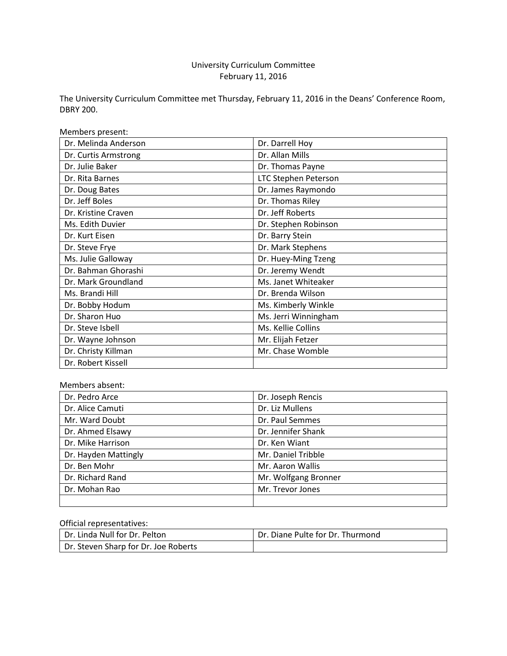# University Curriculum Committee February 11, 2016

The University Curriculum Committee met Thursday, February 11, 2016 in the Deans' Conference Room, DBRY 200.

Members present:

| Dr. Melinda Anderson | Dr. Darrell Hoy             |
|----------------------|-----------------------------|
| Dr. Curtis Armstrong | Dr. Allan Mills             |
| Dr. Julie Baker      | Dr. Thomas Payne            |
| Dr. Rita Barnes      | <b>LTC Stephen Peterson</b> |
| Dr. Doug Bates       | Dr. James Raymondo          |
| Dr. Jeff Boles       | Dr. Thomas Riley            |
| Dr. Kristine Craven  | Dr. Jeff Roberts            |
| Ms. Edith Duvier     | Dr. Stephen Robinson        |
| Dr. Kurt Eisen       | Dr. Barry Stein             |
| Dr. Steve Frye       | Dr. Mark Stephens           |
| Ms. Julie Galloway   | Dr. Huey-Ming Tzeng         |
| Dr. Bahman Ghorashi  | Dr. Jeremy Wendt            |
| Dr. Mark Groundland  | Ms. Janet Whiteaker         |
| Ms. Brandi Hill      | Dr. Brenda Wilson           |
| Dr. Bobby Hodum      | Ms. Kimberly Winkle         |
| Dr. Sharon Huo       | Ms. Jerri Winningham        |
| Dr. Steve Isbell     | Ms. Kellie Collins          |
| Dr. Wayne Johnson    | Mr. Elijah Fetzer           |
| Dr. Christy Killman  | Mr. Chase Womble            |
| Dr. Robert Kissell   |                             |

#### Members absent:

| Dr. Pedro Arce       | Dr. Joseph Rencis    |
|----------------------|----------------------|
| Dr. Alice Camuti     | Dr. Liz Mullens      |
| Mr. Ward Doubt       | Dr. Paul Semmes      |
| Dr. Ahmed Elsawy     | Dr. Jennifer Shank   |
| Dr. Mike Harrison    | Dr. Ken Wiant        |
| Dr. Hayden Mattingly | Mr. Daniel Tribble   |
| Dr. Ben Mohr         | Mr. Aaron Wallis     |
| Dr. Richard Rand     | Mr. Wolfgang Bronner |
| Dr. Mohan Rao        | Mr. Trevor Jones     |
|                      |                      |

### Official representatives:

| Dr. Linda Null for Dr. Pelton        | Dr. Diane Pulte for Dr. Thurmond |
|--------------------------------------|----------------------------------|
| Dr. Steven Sharp for Dr. Joe Roberts |                                  |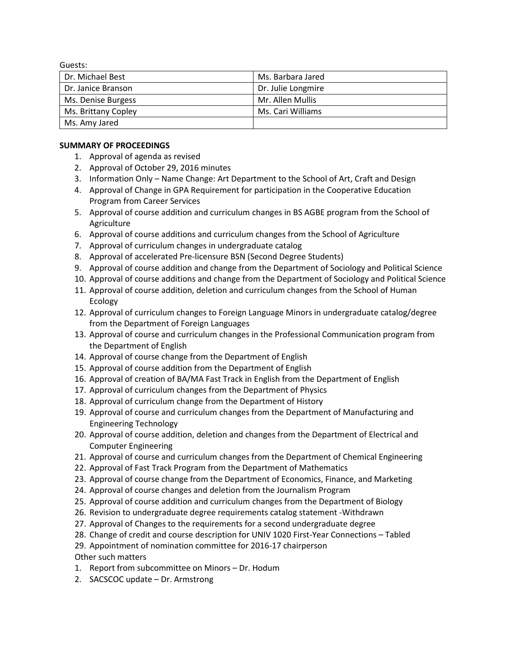Guests:

| Dr. Michael Best    | Ms. Barbara Jared  |
|---------------------|--------------------|
| Dr. Janice Branson  | Dr. Julie Longmire |
| Ms. Denise Burgess  | Mr. Allen Mullis   |
| Ms. Brittany Copley | Ms. Cari Williams  |
| Ms. Amy Jared       |                    |

### **SUMMARY OF PROCEEDINGS**

- 1. Approval of agenda as revised
- 2. Approval of October 29, 2016 minutes
- 3. Information Only Name Change: Art Department to the School of Art, Craft and Design
- 4. Approval of Change in GPA Requirement for participation in the Cooperative Education Program from Career Services
- 5. Approval of course addition and curriculum changes in BS AGBE program from the School of Agriculture
- 6. Approval of course additions and curriculum changes from the School of Agriculture
- 7. Approval of curriculum changes in undergraduate catalog
- 8. Approval of accelerated Pre-licensure BSN (Second Degree Students)
- 9. Approval of course addition and change from the Department of Sociology and Political Science
- 10. Approval of course additions and change from the Department of Sociology and Political Science
- 11. Approval of course addition, deletion and curriculum changes from the School of Human Ecology
- 12. Approval of curriculum changes to Foreign Language Minors in undergraduate catalog/degree from the Department of Foreign Languages
- 13. Approval of course and curriculum changes in the Professional Communication program from the Department of English
- 14. Approval of course change from the Department of English
- 15. Approval of course addition from the Department of English
- 16. Approval of creation of BA/MA Fast Track in English from the Department of English
- 17. Approval of curriculum changes from the Department of Physics
- 18. Approval of curriculum change from the Department of History
- 19. Approval of course and curriculum changes from the Department of Manufacturing and Engineering Technology
- 20. Approval of course addition, deletion and changes from the Department of Electrical and Computer Engineering
- 21. Approval of course and curriculum changes from the Department of Chemical Engineering
- 22. Approval of Fast Track Program from the Department of Mathematics
- 23. Approval of course change from the Department of Economics, Finance, and Marketing
- 24. Approval of course changes and deletion from the Journalism Program
- 25. Approval of course addition and curriculum changes from the Department of Biology
- 26. Revision to undergraduate degree requirements catalog statement -Withdrawn
- 27. Approval of Changes to the requirements for a second undergraduate degree
- 28. Change of credit and course description for UNIV 1020 First-Year Connections Tabled
- 29. Appointment of nomination committee for 2016-17 chairperson Other such matters
- 1. Report from subcommittee on Minors Dr. Hodum
- 2. SACSCOC update Dr. Armstrong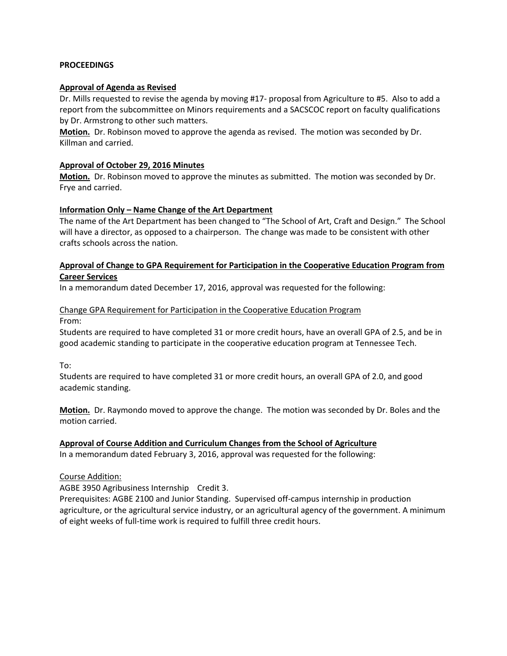#### **PROCEEDINGS**

#### **Approval of Agenda as Revised**

Dr. Mills requested to revise the agenda by moving #17- proposal from Agriculture to #5. Also to add a report from the subcommittee on Minors requirements and a SACSCOC report on faculty qualifications by Dr. Armstrong to other such matters.

**Motion.** Dr. Robinson moved to approve the agenda as revised. The motion was seconded by Dr. Killman and carried.

#### **Approval of October 29, 2016 Minutes**

**Motion.** Dr. Robinson moved to approve the minutes as submitted. The motion was seconded by Dr. Frye and carried.

#### **Information Only – Name Change of the Art Department**

The name of the Art Department has been changed to "The School of Art, Craft and Design." The School will have a director, as opposed to a chairperson. The change was made to be consistent with other crafts schools across the nation.

### **Approval of Change to GPA Requirement for Participation in the Cooperative Education Program from Career Services**

In a memorandum dated December 17, 2016, approval was requested for the following:

### Change GPA Requirement for Participation in the Cooperative Education Program From:

Students are required to have completed 31 or more credit hours, have an overall GPA of 2.5, and be in good academic standing to participate in the cooperative education program at Tennessee Tech.

To:

Students are required to have completed 31 or more credit hours, an overall GPA of 2.0, and good academic standing.

**Motion.** Dr. Raymondo moved to approve the change. The motion was seconded by Dr. Boles and the motion carried.

### **Approval of Course Addition and Curriculum Changes from the School of Agriculture**

In a memorandum dated February 3, 2016, approval was requested for the following:

### Course Addition:

AGBE 3950 Agribusiness Internship Credit 3.

Prerequisites: AGBE 2100 and Junior Standing. Supervised off-campus internship in production agriculture, or the agricultural service industry, or an agricultural agency of the government. A minimum of eight weeks of full-time work is required to fulfill three credit hours.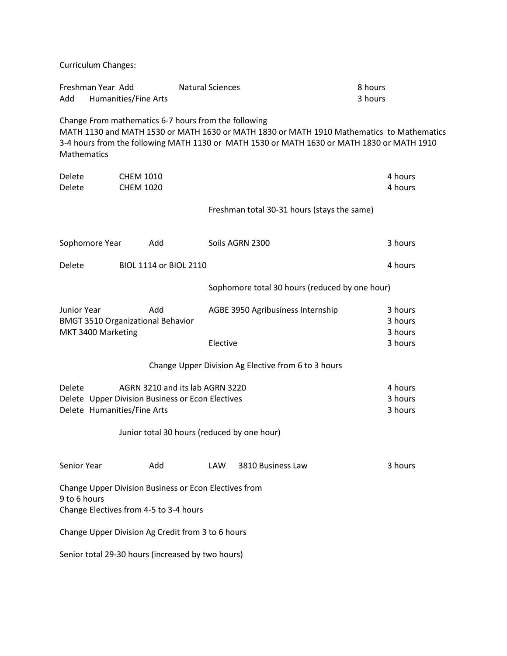Curriculum Changes:

| Freshman Year Add<br>Add          | Humanities/Fine Arts                            | <b>Natural Sciences</b>                                                                                                            | 8 hours<br>3 hours                                                                                                                                                                      |
|-----------------------------------|-------------------------------------------------|------------------------------------------------------------------------------------------------------------------------------------|-----------------------------------------------------------------------------------------------------------------------------------------------------------------------------------------|
| Mathematics                       |                                                 | Change From mathematics 6-7 hours from the following                                                                               | MATH 1130 and MATH 1530 or MATH 1630 or MATH 1830 or MATH 1910 Mathematics to Mathematics<br>3-4 hours from the following MATH 1130 or MATH 1530 or MATH 1630 or MATH 1830 or MATH 1910 |
| Delete<br>Delete                  | <b>CHEM 1010</b><br><b>CHEM 1020</b>            |                                                                                                                                    | 4 hours<br>4 hours                                                                                                                                                                      |
|                                   |                                                 |                                                                                                                                    | Freshman total 30-31 hours (stays the same)                                                                                                                                             |
| Sophomore Year                    | Add                                             | Soils AGRN 2300                                                                                                                    | 3 hours                                                                                                                                                                                 |
| Delete                            | BIOL 1114 or BIOL 2110                          |                                                                                                                                    | 4 hours                                                                                                                                                                                 |
|                                   |                                                 |                                                                                                                                    | Sophomore total 30 hours (reduced by one hour)                                                                                                                                          |
| Junior Year<br>MKT 3400 Marketing | Add<br><b>BMGT 3510 Organizational Behavior</b> | AGBE 3950 Agribusiness Internship<br>Elective                                                                                      | 3 hours<br>3 hours<br>3 hours<br>3 hours                                                                                                                                                |
|                                   |                                                 | Change Upper Division Ag Elective from 6 to 3 hours                                                                                |                                                                                                                                                                                         |
| Delete                            | Delete Humanities/Fine Arts                     | AGRN 3210 and its lab AGRN 3220<br>Delete Upper Division Business or Econ Electives<br>Junior total 30 hours (reduced by one hour) | 4 hours<br>3 hours<br>3 hours                                                                                                                                                           |
| Senior Year                       | Add                                             | 3810 Business Law<br><b>LAW</b>                                                                                                    | 3 hours                                                                                                                                                                                 |
| 9 to 6 hours                      | Change Electives from 4-5 to 3-4 hours          | Change Upper Division Business or Econ Electives from                                                                              |                                                                                                                                                                                         |
|                                   |                                                 | Change Upper Division Ag Credit from 3 to 6 hours                                                                                  |                                                                                                                                                                                         |
|                                   |                                                 | Senior total 29-30 hours (increased by two hours)                                                                                  |                                                                                                                                                                                         |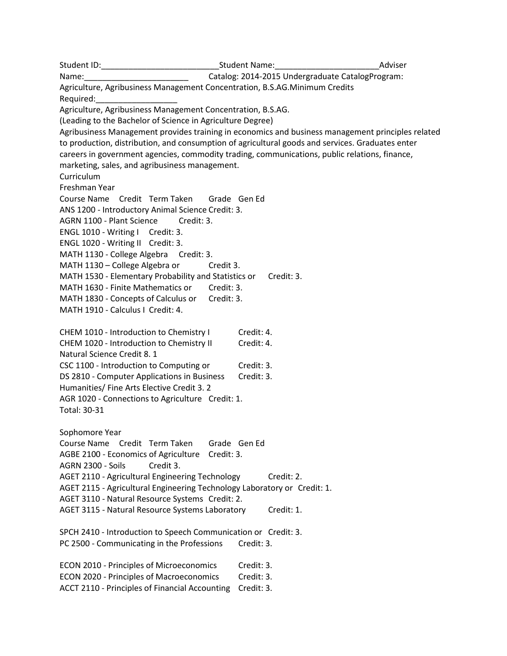Student ID: The Contract of Student Name: The Contract of Adviser Adviser Name:\_\_\_\_\_\_\_\_\_\_\_\_\_\_\_\_\_\_\_\_\_\_\_ Catalog: 2014-2015 Undergraduate CatalogProgram: Agriculture, Agribusiness Management Concentration, B.S.AG.Minimum Credits Required: Agriculture, Agribusiness Management Concentration, B.S.AG. (Leading to the Bachelor of Science in Agriculture Degree) Agribusiness Management provides training in economics and business management principles related to production, distribution, and consumption of agricultural goods and services. Graduates enter careers in government agencies, commodity trading, communications, public relations, finance, marketing, sales, and agribusiness management. Curriculum Freshman Year Course Name Credit Term Taken Grade Gen Ed ANS 1200 - Introductory Animal Science Credit: 3. AGRN 1100 - Plant Science Credit: 3. ENGL 1010 - Writing I Credit: 3. ENGL 1020 - Writing II Credit: 3. MATH 1130 - College Algebra Credit: 3. MATH 1130 – College Algebra or Credit 3. MATH 1530 - Elementary Probability and Statistics or Credit: 3. MATH 1630 - Finite Mathematics or Credit: 3. MATH 1830 - Concepts of Calculus or Credit: 3. MATH 1910 - Calculus I Credit: 4. CHEM 1010 - Introduction to Chemistry I Credit: 4. CHEM 1020 - Introduction to Chemistry II Credit: 4. Natural Science Credit 8. 1 CSC 1100 - Introduction to Computing or Credit: 3. DS 2810 - Computer Applications in Business Credit: 3. Humanities/ Fine Arts Elective Credit 3. 2 AGR 1020 - Connections to Agriculture Credit: 1. Total: 30-31 Sophomore Year Course Name Credit Term Taken Grade Gen Ed AGBE 2100 - Economics of Agriculture Credit: 3. AGRN 2300 - Soils Credit 3. AGET 2110 - Agricultural Engineering Technology Credit: 2. AGET 2115 - Agricultural Engineering Technology Laboratory or Credit: 1. AGET 3110 - Natural Resource Systems Credit: 2. AGET 3115 - Natural Resource Systems Laboratory Credit: 1. SPCH 2410 - Introduction to Speech Communication or Credit: 3. PC 2500 - Communicating in the Professions Credit: 3. ECON 2010 - Principles of Microeconomics Credit: 3. ECON 2020 - Principles of Macroeconomics Credit: 3. ACCT 2110 - Principles of Financial Accounting Credit: 3.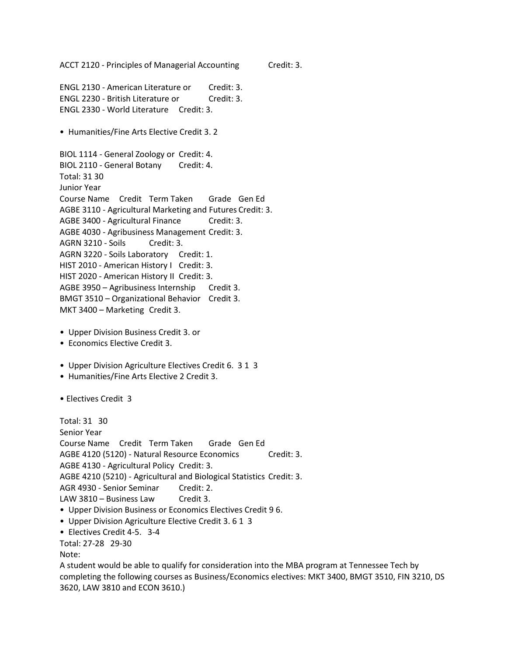ACCT 2120 - Principles of Managerial Accounting Credit: 3.

ENGL 2130 - American Literature or Credit: 3. ENGL 2230 - British Literature or Credit: 3. ENGL 2330 - World Literature Credit: 3.

• Humanities/Fine Arts Elective Credit 3. 2

BIOL 1114 - General Zoology or Credit: 4. BIOL 2110 - General Botany Credit: 4. Total: 31 30 Junior Year Course Name Credit Term Taken Grade Gen Ed AGBE 3110 - Agricultural Marketing and Futures Credit: 3. AGBE 3400 - Agricultural Finance Credit: 3. AGBE 4030 - Agribusiness Management Credit: 3. AGRN 3210 - Soils Credit: 3. AGRN 3220 - Soils Laboratory Credit: 1. HIST 2010 - American History I Credit: 3. HIST 2020 - American History II Credit: 3. AGBE 3950 – Agribusiness Internship Credit 3. BMGT 3510 – Organizational Behavior Credit 3. MKT 3400 – Marketing Credit 3.

- Upper Division Business Credit 3. or
- Economics Elective Credit 3.
- Upper Division Agriculture Electives Credit 6. 3 1 3
- Humanities/Fine Arts Elective 2 Credit 3.

• Electives Credit 3

Total: 31 30 Senior Year Course Name Credit Term Taken Grade Gen Ed AGBE 4120 (5120) - Natural Resource Economics Credit: 3. AGBE 4130 - Agricultural Policy Credit: 3. AGBE 4210 (5210) - Agricultural and Biological Statistics Credit: 3. AGR 4930 - Senior Seminar Credit: 2. LAW 3810 – Business Law Credit 3.

- Upper Division Business or Economics Electives Credit 9 6.
- Upper Division Agriculture Elective Credit 3. 6 1 3
- Electives Credit 4-5. 3-4
- Total: 27-28 29-30

Note:

A student would be able to qualify for consideration into the MBA program at Tennessee Tech by completing the following courses as Business/Economics electives: MKT 3400, BMGT 3510, FIN 3210, DS 3620, LAW 3810 and ECON 3610.)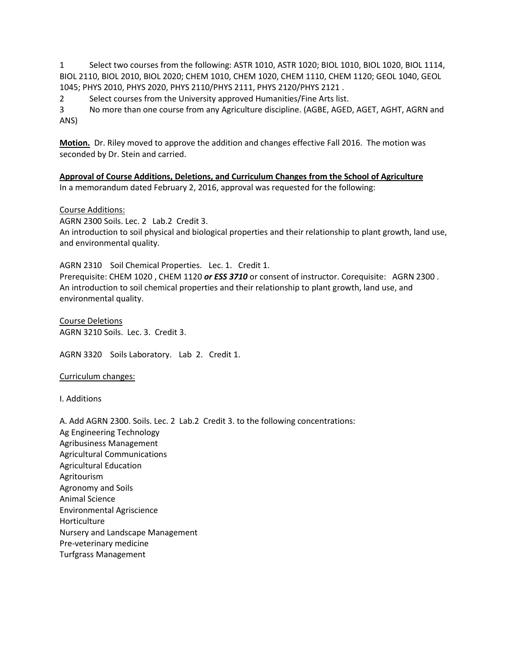1 Select two courses from the following: ASTR 1010, ASTR 1020; BIOL 1010, BIOL 1020, BIOL 1114, BIOL 2110, BIOL 2010, BIOL 2020; CHEM 1010, CHEM 1020, CHEM 1110, CHEM 1120; GEOL 1040, GEOL 1045; PHYS 2010, PHYS 2020, PHYS 2110/PHYS 2111, PHYS 2120/PHYS 2121 .

2 Select courses from the University approved Humanities/Fine Arts list.

3 No more than one course from any Agriculture discipline. (AGBE, AGED, AGET, AGHT, AGRN and ANS)

**Motion.** Dr. Riley moved to approve the addition and changes effective Fall 2016. The motion was seconded by Dr. Stein and carried.

**Approval of Course Additions, Deletions, and Curriculum Changes from the School of Agriculture** In a memorandum dated February 2, 2016, approval was requested for the following:

### Course Additions:

AGRN 2300 Soils. Lec. 2 Lab.2 Credit 3. An introduction to soil physical and biological properties and their relationship to plant growth, land use, and environmental quality.

AGRN 2310 Soil Chemical Properties. Lec. 1. Credit 1.

Prerequisite: CHEM 1020 , CHEM 1120 *or ESS 3710* or consent of instructor. Corequisite: AGRN 2300 . An introduction to soil chemical properties and their relationship to plant growth, land use, and environmental quality.

Course Deletions AGRN 3210 Soils. Lec. 3. Credit 3.

AGRN 3320 Soils Laboratory. Lab 2. Credit 1.

Curriculum changes:

I. Additions

A. Add AGRN 2300. Soils. Lec. 2 Lab.2 Credit 3. to the following concentrations: Ag Engineering Technology Agribusiness Management Agricultural Communications Agricultural Education Agritourism Agronomy and Soils Animal Science Environmental Agriscience Horticulture Nursery and Landscape Management Pre-veterinary medicine Turfgrass Management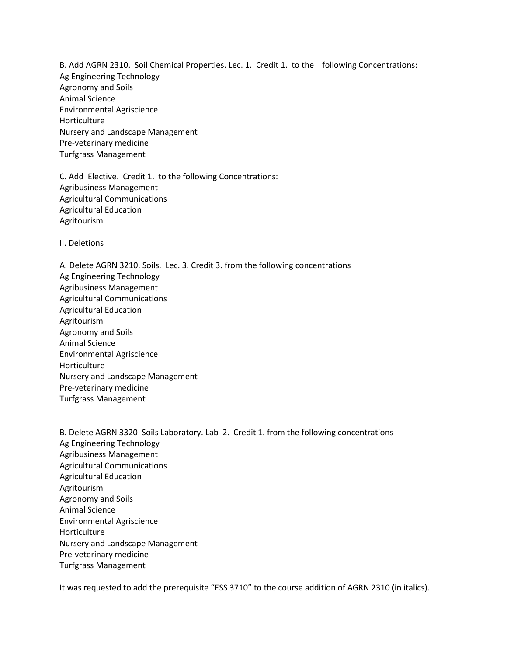B. Add AGRN 2310. Soil Chemical Properties. Lec. 1. Credit 1. to the following Concentrations: Ag Engineering Technology Agronomy and Soils Animal Science Environmental Agriscience Horticulture Nursery and Landscape Management Pre-veterinary medicine Turfgrass Management

C. Add Elective. Credit 1. to the following Concentrations: Agribusiness Management Agricultural Communications Agricultural Education Agritourism

II. Deletions

A. Delete AGRN 3210. Soils. Lec. 3. Credit 3. from the following concentrations Ag Engineering Technology Agribusiness Management Agricultural Communications Agricultural Education Agritourism Agronomy and Soils Animal Science Environmental Agriscience Horticulture Nursery and Landscape Management Pre-veterinary medicine Turfgrass Management

B. Delete AGRN 3320 Soils Laboratory. Lab 2. Credit 1. from the following concentrations Ag Engineering Technology Agribusiness Management Agricultural Communications Agricultural Education Agritourism Agronomy and Soils Animal Science Environmental Agriscience Horticulture Nursery and Landscape Management Pre-veterinary medicine Turfgrass Management

It was requested to add the prerequisite "ESS 3710" to the course addition of AGRN 2310 (in italics).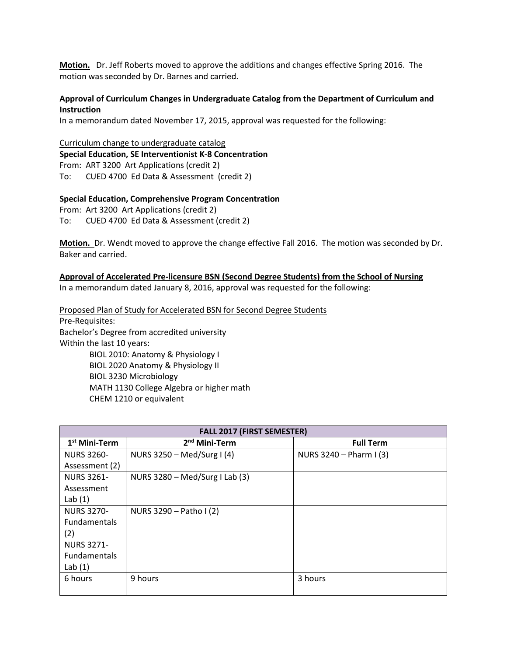**Motion.** Dr. Jeff Roberts moved to approve the additions and changes effective Spring 2016. The motion was seconded by Dr. Barnes and carried.

### **Approval of Curriculum Changes in Undergraduate Catalog from the Department of Curriculum and Instruction**

In a memorandum dated November 17, 2015, approval was requested for the following:

Curriculum change to undergraduate catalog **Special Education, SE Interventionist K-8 Concentration** From: ART 3200 Art Applications (credit 2) To: CUED 4700 Ed Data & Assessment (credit 2)

#### **Special Education, Comprehensive Program Concentration**

From: Art 3200 Art Applications (credit 2) To: CUED 4700 Ed Data & Assessment (credit 2)

**Motion.** Dr. Wendt moved to approve the change effective Fall 2016. The motion was seconded by Dr. Baker and carried.

#### **Approval of Accelerated Pre-licensure BSN (Second Degree Students) from the School of Nursing**

In a memorandum dated January 8, 2016, approval was requested for the following:

Proposed Plan of Study for Accelerated BSN for Second Degree Students Pre-Requisites: Bachelor's Degree from accredited university Within the last 10 years: BIOL 2010: Anatomy & Physiology I BIOL 2020 Anatomy & Physiology II BIOL 3230 Microbiology

MATH 1130 College Algebra or higher math

CHEM 1210 or equivalent

| <b>FALL 2017 (FIRST SEMESTER)</b> |                                  |                         |  |
|-----------------------------------|----------------------------------|-------------------------|--|
| 1 <sup>st</sup> Mini-Term         | 2 <sup>nd</sup> Mini-Term        | <b>Full Term</b>        |  |
| <b>NURS 3260-</b>                 | NURS 3250 - Med/Surg I (4)       | NURS 3240 - Pharm I (3) |  |
| Assessment (2)                    |                                  |                         |  |
| <b>NURS 3261-</b>                 | NURS $3280 - Med/Surg I Lab (3)$ |                         |  |
| Assessment                        |                                  |                         |  |
| Lab $(1)$                         |                                  |                         |  |
| <b>NURS 3270-</b>                 | NURS 3290 - Patho I (2)          |                         |  |
| <b>Fundamentals</b>               |                                  |                         |  |
| (2)                               |                                  |                         |  |
| <b>NURS 3271-</b>                 |                                  |                         |  |
| Fundamentals                      |                                  |                         |  |
| Lab $(1)$                         |                                  |                         |  |
| 6 hours                           | 9 hours                          | 3 hours                 |  |
|                                   |                                  |                         |  |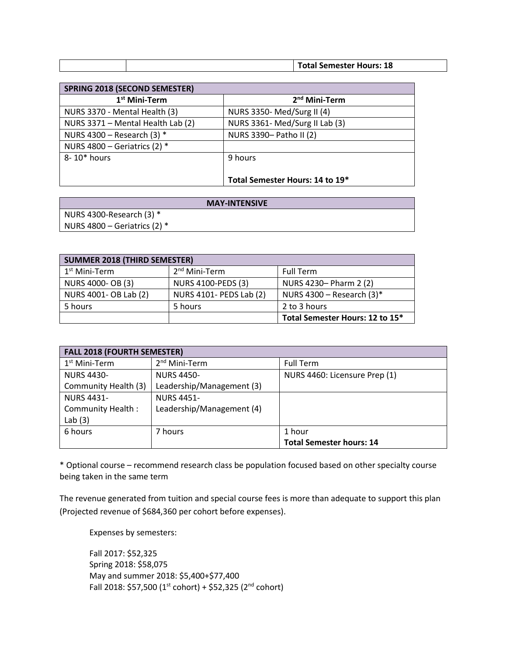|  | <b>Total Semester Hours: 18</b> |
|--|---------------------------------|

| <b>SPRING 2018 (SECOND SEMESTER)</b> |                                 |
|--------------------------------------|---------------------------------|
| 1 <sup>st</sup> Mini-Term            | 2 <sup>nd</sup> Mini-Term       |
| NURS 3370 - Mental Health (3)        | NURS 3350- Med/Surg II (4)      |
| NURS 3371 - Mental Health Lab (2)    | NURS 3361- Med/Surg II Lab (3)  |
| NURS 4300 - Research (3) $*$         | NURS 3390- Patho II (2)         |
| NURS 4800 - Geriatrics (2) $*$       |                                 |
| 8-10* hours                          | 9 hours                         |
|                                      |                                 |
|                                      | Total Semester Hours: 14 to 19* |

| <b>MAY-INTENSIVE</b>           |
|--------------------------------|
| NURS 4300-Research $(3)$ *     |
| NURS 4800 – Geriatrics (2) $*$ |

| <b>SUMMER 2018 (THIRD SEMESTER)</b> |                           |                                 |
|-------------------------------------|---------------------------|---------------------------------|
| 1 <sup>st</sup> Mini-Term           | 2 <sup>nd</sup> Mini-Term | <b>Full Term</b>                |
| NURS 4000- OB (3)                   | <b>NURS 4100-PEDS (3)</b> | NURS 4230- Pharm 2 (2)          |
| NURS 4001- OB Lab (2)               | NURS 4101- PEDS Lab (2)   | NURS 4300 - Research $(3)^*$    |
| 5 hours                             | 5 hours                   | 2 to 3 hours                    |
|                                     |                           | Total Semester Hours: 12 to 15* |

| <b>FALL 2018 (FOURTH SEMESTER)</b> |                           |                                 |
|------------------------------------|---------------------------|---------------------------------|
| $1st$ Mini-Term                    | 2 <sup>nd</sup> Mini-Term | <b>Full Term</b>                |
| <b>NURS 4430-</b>                  | <b>NURS 4450-</b>         | NURS 4460: Licensure Prep (1)   |
| Community Health (3)               | Leadership/Management (3) |                                 |
| <b>NURS 4431-</b>                  | <b>NURS 4451-</b>         |                                 |
| Community Health:                  | Leadership/Management (4) |                                 |
| Lab $(3)$                          |                           |                                 |
| 6 hours                            | 7 hours                   | 1 hour                          |
|                                    |                           | <b>Total Semester hours: 14</b> |

\* Optional course – recommend research class be population focused based on other specialty course being taken in the same term

The revenue generated from tuition and special course fees is more than adequate to support this plan (Projected revenue of \$684,360 per cohort before expenses).

Expenses by semesters:

Fall 2017: \$52,325 Spring 2018: \$58,075 May and summer 2018: \$5,400+\$77,400 Fall 2018: \$57,500 (1st cohort) + \$52,325 (2<sup>nd</sup> cohort)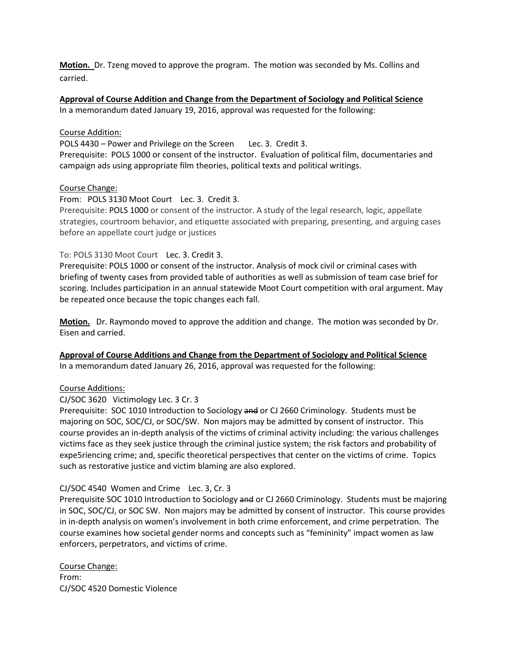**Motion.** Dr. Tzeng moved to approve the program. The motion was seconded by Ms. Collins and carried.

**Approval of Course Addition and Change from the Department of Sociology and Political Science** 

In a memorandum dated January 19, 2016, approval was requested for the following:

### Course Addition:

POLS 4430 – Power and Privilege on the Screen Lec. 3. Credit 3.

Prerequisite: POLS 1000 or consent of the instructor. Evaluation of political film, documentaries and campaign ads using appropriate film theories, political texts and political writings.

### Course Change:

From: POLS 3130 Moot Court Lec. 3. Credit 3.

Prerequisite: [POLS 1000](http://catalog.tntech.edu/search_advanced.php?cur_cat_oid=19&search_database=Search&search_db=Search&cpage=1&ecpage=1&ppage=1&spage=1&tpage=1&location=33&filter%5Bkeyword%5D=POLS+3130&filter%5Bexact_match%5D=1#tt4204) or consent of the instructor. A study of the legal research, logic, appellate strategies, courtroom behavior, and etiquette associated with preparing, presenting, and arguing cases before an appellate court judge or justices

### To: POLS 3130 Moot Court Lec. 3. Credit 3.

Prerequisite: POLS 1000 or consent of the instructor. Analysis of mock civil or criminal cases with briefing of twenty cases from provided table of authorities as well as submission of team case brief for scoring. Includes participation in an annual statewide Moot Court competition with oral argument. May be repeated once because the topic changes each fall.

**Motion.** Dr. Raymondo moved to approve the addition and change. The motion was seconded by Dr. Eisen and carried.

**Approval of Course Additions and Change from the Department of Sociology and Political Science** In a memorandum dated January 26, 2016, approval was requested for the following:

### Course Additions:

CJ/SOC 3620 Victimology Lec. 3 Cr. 3

Prerequisite: SOC 1010 Introduction to Sociology and or CJ 2660 Criminology. Students must be majoring on SOC, SOC/CJ, or SOC/SW. Non majors may be admitted by consent of instructor. This course provides an in-depth analysis of the victims of criminal activity including: the various challenges victims face as they seek justice through the criminal justice system; the risk factors and probability of expe5riencing crime; and, specific theoretical perspectives that center on the victims of crime. Topics such as restorative justice and victim blaming are also explored.

## CJ/SOC 4540 Women and Crime Lec. 3, Cr. 3

Prerequisite SOC 1010 Introduction to Sociology and or CJ 2660 Criminology. Students must be majoring in SOC, SOC/CJ, or SOC SW. Non majors may be admitted by consent of instructor. This course provides in in-depth analysis on women's involvement in both crime enforcement, and crime perpetration. The course examines how societal gender norms and concepts such as "femininity" impact women as law enforcers, perpetrators, and victims of crime.

Course Change: From: CJ/SOC 4520 Domestic Violence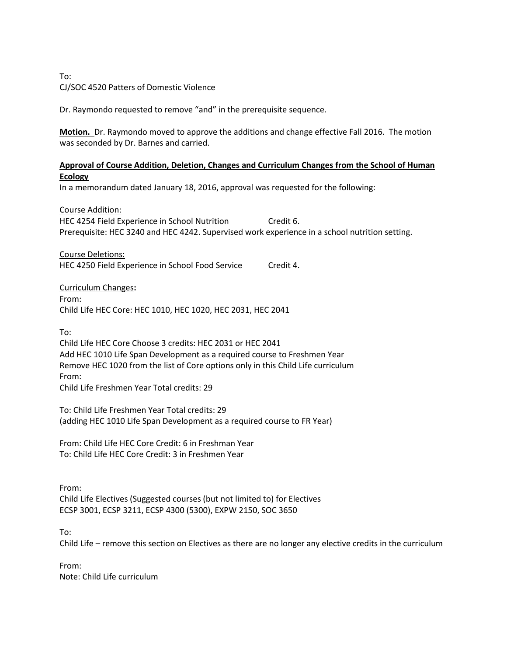## To: CJ/SOC 4520 Patters of Domestic Violence

Dr. Raymondo requested to remove "and" in the prerequisite sequence.

**Motion.** Dr. Raymondo moved to approve the additions and change effective Fall 2016. The motion was seconded by Dr. Barnes and carried.

### **Approval of Course Addition, Deletion, Changes and Curriculum Changes from the School of Human Ecology**

In a memorandum dated January 18, 2016, approval was requested for the following:

Course Addition: HEC 4254 Field Experience in School Nutrition Credit 6. Prerequisite: HEC 3240 and HEC 4242. Supervised work experience in a school nutrition setting.

Course Deletions: HEC 4250 Field Experience in School Food Service Credit 4.

Curriculum Changes**:** From: Child Life HEC Core: HEC 1010, HEC 1020, HEC 2031, HEC 2041

To:

Child Life HEC Core Choose 3 credits: HEC 2031 or HEC 2041 Add HEC 1010 Life Span Development as a required course to Freshmen Year Remove HEC 1020 from the list of Core options only in this Child Life curriculum From: Child Life Freshmen Year Total credits: 29

To: Child Life Freshmen Year Total credits: 29 (adding HEC 1010 Life Span Development as a required course to FR Year)

From: Child Life HEC Core Credit: 6 in Freshman Year To: Child Life HEC Core Credit: 3 in Freshmen Year

From: Child Life Electives (Suggested courses (but not limited to) for Electives ECSP 3001, ECSP 3211, ECSP 4300 (5300), EXPW 2150, SOC 3650

To:

Child Life – remove this section on Electives as there are no longer any elective credits in the curriculum

From: Note: Child Life curriculum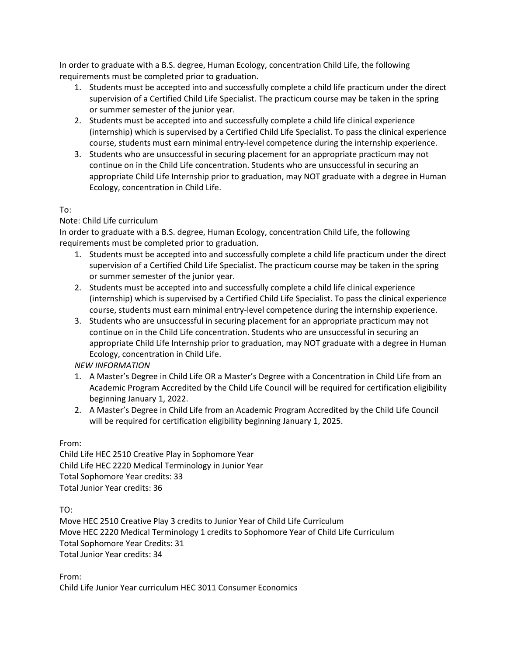In order to graduate with a B.S. degree, Human Ecology, concentration Child Life, the following requirements must be completed prior to graduation.

- 1. Students must be accepted into and successfully complete a child life practicum under the direct supervision of a Certified Child Life Specialist. The practicum course may be taken in the spring or summer semester of the junior year.
- 2. Students must be accepted into and successfully complete a child life clinical experience (internship) which is supervised by a Certified Child Life Specialist. To pass the clinical experience course, students must earn minimal entry-level competence during the internship experience.
- 3. Students who are unsuccessful in securing placement for an appropriate practicum may not continue on in the Child Life concentration. Students who are unsuccessful in securing an appropriate Child Life Internship prior to graduation, may NOT graduate with a degree in Human Ecology, concentration in Child Life.

# To:

## Note: Child Life curriculum

In order to graduate with a B.S. degree, Human Ecology, concentration Child Life, the following requirements must be completed prior to graduation.

- 1. Students must be accepted into and successfully complete a child life practicum under the direct supervision of a Certified Child Life Specialist. The practicum course may be taken in the spring or summer semester of the junior year.
- 2. Students must be accepted into and successfully complete a child life clinical experience (internship) which is supervised by a Certified Child Life Specialist. To pass the clinical experience course, students must earn minimal entry-level competence during the internship experience.
- 3. Students who are unsuccessful in securing placement for an appropriate practicum may not continue on in the Child Life concentration. Students who are unsuccessful in securing an appropriate Child Life Internship prior to graduation, may NOT graduate with a degree in Human Ecology, concentration in Child Life.

# *NEW INFORMATION*

- 1. A Master's Degree in Child Life OR a Master's Degree with a Concentration in Child Life from an Academic Program Accredited by the Child Life Council will be required for certification eligibility beginning January 1, 2022.
- 2. A Master's Degree in Child Life from an Academic Program Accredited by the Child Life Council will be required for certification eligibility beginning January 1, 2025.

## From:

Child Life HEC 2510 Creative Play in Sophomore Year Child Life HEC 2220 Medical Terminology in Junior Year Total Sophomore Year credits: 33 Total Junior Year credits: 36

TO:

Move HEC 2510 Creative Play 3 credits to Junior Year of Child Life Curriculum Move HEC 2220 Medical Terminology 1 credits to Sophomore Year of Child Life Curriculum Total Sophomore Year Credits: 31 Total Junior Year credits: 34

From: Child Life Junior Year curriculum HEC 3011 Consumer Economics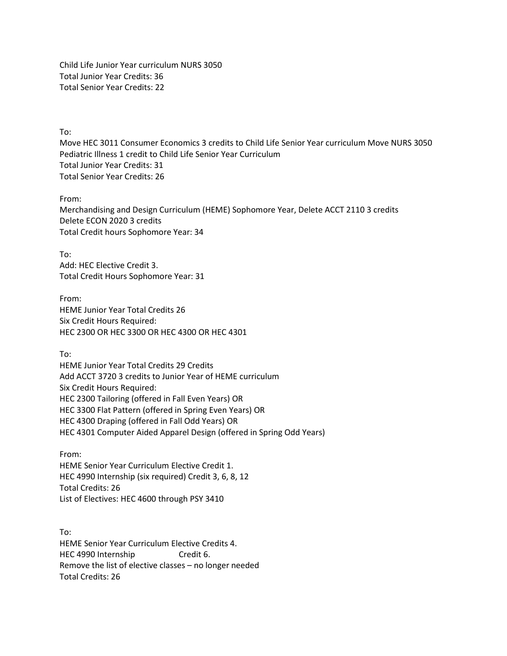Child Life Junior Year curriculum NURS 3050 Total Junior Year Credits: 36 Total Senior Year Credits: 22

To:

Move HEC 3011 Consumer Economics 3 credits to Child Life Senior Year curriculum Move NURS 3050 Pediatric Illness 1 credit to Child Life Senior Year Curriculum Total Junior Year Credits: 31 Total Senior Year Credits: 26

From:

Merchandising and Design Curriculum (HEME) Sophomore Year, Delete ACCT 2110 3 credits Delete ECON 2020 3 credits Total Credit hours Sophomore Year: 34

To: Add: HEC Elective Credit 3. Total Credit Hours Sophomore Year: 31

From: HEME Junior Year Total Credits 26 Six Credit Hours Required: HEC 2300 OR HEC 3300 OR HEC 4300 OR HEC 4301

To:

HEME Junior Year Total Credits 29 Credits Add ACCT 3720 3 credits to Junior Year of HEME curriculum Six Credit Hours Required: HEC 2300 Tailoring (offered in Fall Even Years) OR HEC 3300 Flat Pattern (offered in Spring Even Years) OR HEC 4300 Draping (offered in Fall Odd Years) OR HEC 4301 Computer Aided Apparel Design (offered in Spring Odd Years)

From: HEME Senior Year Curriculum Elective Credit 1. HEC 4990 Internship (six required) Credit 3, 6, 8, 12 Total Credits: 26 List of Electives: HEC 4600 through PSY 3410

To: HEME Senior Year Curriculum Elective Credits 4. HEC 4990 Internship Credit 6. Remove the list of elective classes – no longer needed Total Credits: 26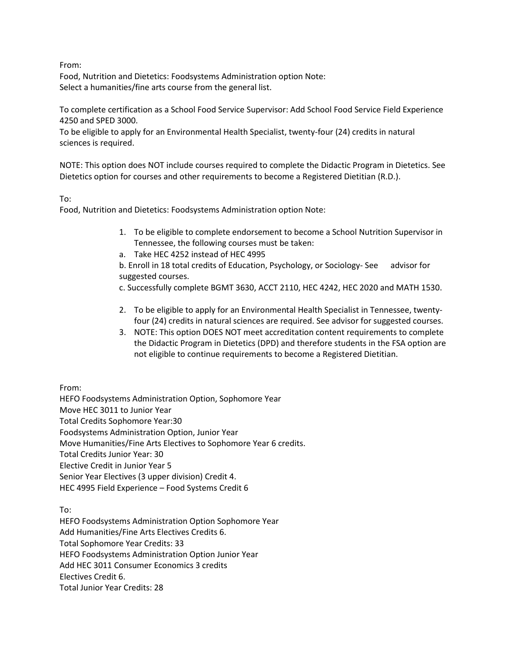From:

Food, Nutrition and Dietetics: Foodsystems Administration option Note: Select a humanities/fine arts course from the general list.

To complete certification as a School Food Service Supervisor: Add School Food Service Field Experience 4250 and SPED 3000.

To be eligible to apply for an Environmental Health Specialist, twenty-four (24) credits in natural sciences is required.

NOTE: This option does NOT include courses required to complete the Didactic Program in Dietetics. See Dietetics option for courses and other requirements to become a Registered Dietitian (R.D.).

## To:

Food, Nutrition and Dietetics: Foodsystems Administration option Note:

- 1. To be eligible to complete endorsement to become a School Nutrition Supervisor in Tennessee, the following courses must be taken:
- a. Take HEC 4252 instead of HEC 4995

b. Enroll in 18 total credits of Education, Psychology, or Sociology- See advisor for suggested courses.

c. Successfully complete BGMT 3630, ACCT 2110, HEC 4242, HEC 2020 and MATH 1530.

- 2. To be eligible to apply for an Environmental Health Specialist in Tennessee, twentyfour (24) credits in natural sciences are required. See advisor for suggested courses.
- 3. NOTE: This option DOES NOT meet accreditation content requirements to complete the Didactic Program in Dietetics (DPD) and therefore students in the FSA option are not eligible to continue requirements to become a Registered Dietitian.

From:

HEFO Foodsystems Administration Option, Sophomore Year Move HEC 3011 to Junior Year Total Credits Sophomore Year:30 Foodsystems Administration Option, Junior Year Move Humanities/Fine Arts Electives to Sophomore Year 6 credits. Total Credits Junior Year: 30 Elective Credit in Junior Year 5 Senior Year Electives (3 upper division) Credit 4. HEC 4995 Field Experience – Food Systems Credit 6

To:

HEFO Foodsystems Administration Option Sophomore Year Add Humanities/Fine Arts Electives Credits 6. Total Sophomore Year Credits: 33 HEFO Foodsystems Administration Option Junior Year Add HEC 3011 Consumer Economics 3 credits Electives Credit 6. Total Junior Year Credits: 28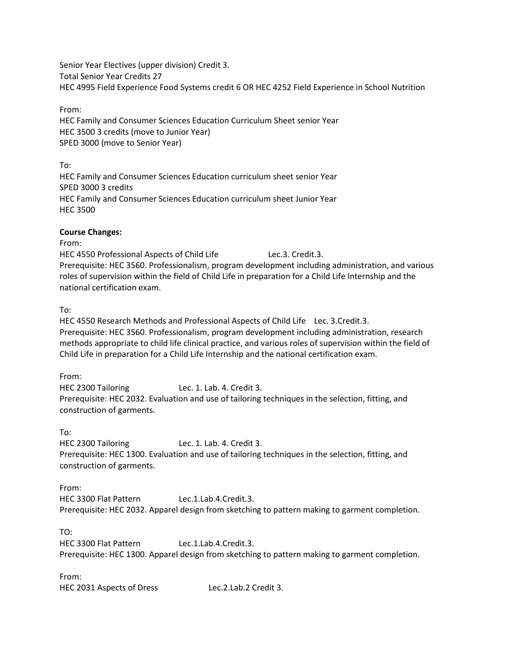Senior Year Electives (upper division) Credit 3. Total Senior Year Credits 27 HEC 4995 Field Experience Food Systems credit 6 OR HEC 4252 Field Experience in School Nutrition

From:

HEC Family and Consumer Sciences Education Curriculum Sheet senior Year HEC 3500 3 credits (move to Junior Year) SPED 3000 (move to Senior Year)

To: HEC Family and Consumer Sciences Education curriculum sheet senior Year SPED 3000 3 credits HEC Family and Consumer Sciences Education curriculum sheet Junior Year HEC 3500

### **Course Changes:**

From:

HEC 4550 Professional Aspects of Child Life Lec.3. Credit.3. Prerequisite: HEC 3560. Professionalism, program development including administration, and various roles of supervision within the field of Child Life in preparation for a Child Life Internship and the national certification exam.

To:

HEC 4550 Research Methods and Professional Aspects of Child Life Lec. 3.Credit.3. Prerequisite: HEC 3560. Professionalism, program development including administration, research methods appropriate to child life clinical practice, and various roles of supervision within the field of Child Life in preparation for a Child Life Internship and the national certification exam.

From:

HEC 2300 Tailoring Lec. 1. Lab. 4. Credit 3. Prerequisite: HEC 2032. Evaluation and use of tailoring techniques in the selection, fitting, and construction of garments.

To:

HEC 2300 Tailoring Lec. 1. Lab. 4. Credit 3. Prerequisite: HEC 1300. Evaluation and use of tailoring techniques in the selection, fitting, and construction of garments.

From:

HEC 3300 Flat Pattern Lec.1.Lab.4.Credit.3. Prerequisite: HEC 2032. Apparel design from sketching to pattern making to garment completion.

TO:

HEC 3300 Flat Pattern Lec.1.Lab.4.Credit.3. Prerequisite: HEC 1300. Apparel design from sketching to pattern making to garment completion.

From:

HEC 2031 Aspects of Dress Lec.2.Lab.2 Credit 3.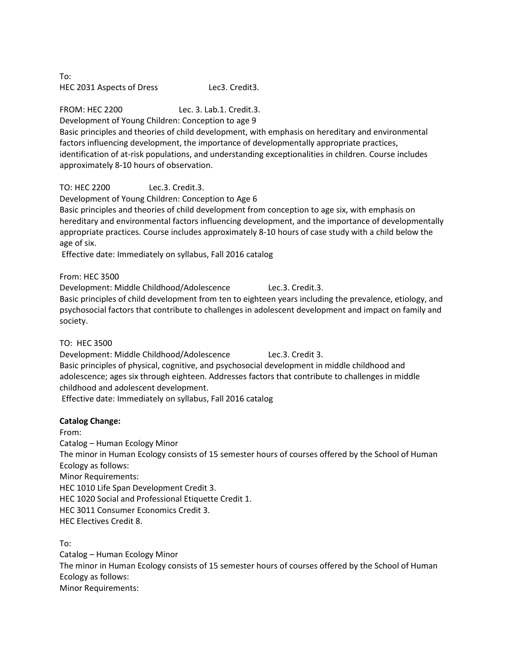To: HEC 2031 Aspects of Dress Lec3. Credit3.

FROM: HEC 2200 Lec. 3. Lab.1. Credit.3.

Development of Young Children: Conception to age 9

Basic principles and theories of child development, with emphasis on hereditary and environmental factors influencing development, the importance of developmentally appropriate practices, identification of at-risk populations, and understanding exceptionalities in children. Course includes approximately 8-10 hours of observation.

TO: HEC 2200 Lec.3. Credit.3.

Development of Young Children: Conception to Age 6

Basic principles and theories of child development from conception to age six, with emphasis on hereditary and environmental factors influencing development, and the importance of developmentally appropriate practices. Course includes approximately 8-10 hours of case study with a child below the age of six.

Effective date: Immediately on syllabus, Fall 2016 catalog

From: HEC 3500

Development: Middle Childhood/Adolescence Lec.3. Credit.3.

Basic principles of child development from ten to eighteen years including the prevalence, etiology, and psychosocial factors that contribute to challenges in adolescent development and impact on family and society.

TO: HEC 3500

Development: Middle Childhood/Adolescence Lec.3. Credit 3. Basic principles of physical, cognitive, and psychosocial development in middle childhood and adolescence; ages six through eighteen. Addresses factors that contribute to challenges in middle childhood and adolescent development. Effective date: Immediately on syllabus, Fall 2016 catalog

# **Catalog Change:**

From:

Catalog – Human Ecology Minor The minor in Human Ecology consists of 15 semester hours of courses offered by the School of Human Ecology as follows: Minor Requirements: HEC 1010 Life Span Development Credit 3. HEC 1020 Social and Professional Etiquette Credit 1. HEC 3011 Consumer Economics Credit 3. HEC Electives Credit 8.

To:

Catalog – Human Ecology Minor The minor in Human Ecology consists of 15 semester hours of courses offered by the School of Human Ecology as follows: Minor Requirements: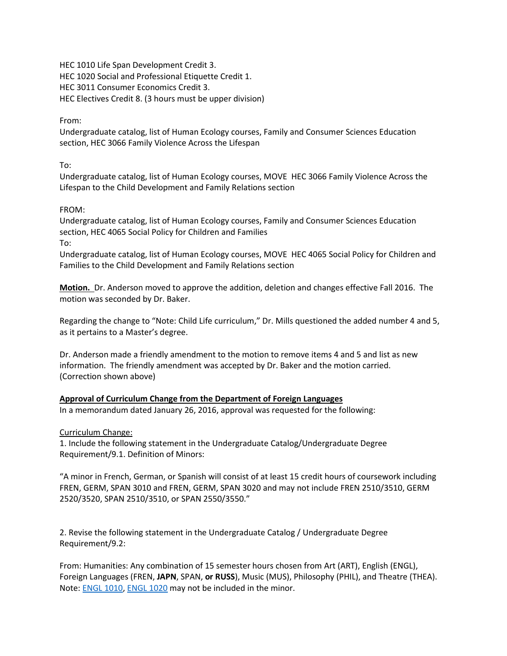HEC 1010 Life Span Development Credit 3. HEC 1020 Social and Professional Etiquette Credit 1. HEC 3011 Consumer Economics Credit 3. HEC Electives Credit 8. (3 hours must be upper division)

From:

Undergraduate catalog, list of Human Ecology courses, Family and Consumer Sciences Education section, HEC 3066 Family Violence Across the Lifespan

To:

Undergraduate catalog, list of Human Ecology courses, MOVE HEC 3066 Family Violence Across the Lifespan to the Child Development and Family Relations section

### FROM:

Undergraduate catalog, list of Human Ecology courses, Family and Consumer Sciences Education section, HEC 4065 Social Policy for Children and Families

To:

Undergraduate catalog, list of Human Ecology courses, MOVE HEC 4065 Social Policy for Children and Families to the Child Development and Family Relations section

**Motion.** Dr. Anderson moved to approve the addition, deletion and changes effective Fall 2016. The motion was seconded by Dr. Baker.

Regarding the change to "Note: Child Life curriculum," Dr. Mills questioned the added number 4 and 5, as it pertains to a Master's degree.

Dr. Anderson made a friendly amendment to the motion to remove items 4 and 5 and list as new information. The friendly amendment was accepted by Dr. Baker and the motion carried. (Correction shown above)

## **Approval of Curriculum Change from the Department of Foreign Languages**

In a memorandum dated January 26, 2016, approval was requested for the following:

Curriculum Change:

1. Include the following statement in the Undergraduate Catalog/Undergraduate Degree Requirement/9.1. Definition of Minors:

"A minor in French, German, or Spanish will consist of at least 15 credit hours of coursework including FREN, GERM, SPAN 3010 and FREN, GERM, SPAN 3020 and may not include FREN 2510/3510, GERM 2520/3520, SPAN 2510/3510, or SPAN 2550/3550."

2. Revise the following statement in the Undergraduate Catalog / Undergraduate Degree Requirement/9.2:

From: Humanities: Any combination of 15 semester hours chosen from Art (ART), English (ENGL), Foreign Languages (FREN, **JAPN**, SPAN, **or RUSS**), Music (MUS), Philosophy (PHIL), and Theatre (THEA). Note[: ENGL 1010,](http://catalog.tntech.edu/content.php?catoid=19&navoid=3465&hl=%22minors%22&returnto=search#tt6090) [ENGL 1020](http://catalog.tntech.edu/content.php?catoid=19&navoid=3465&hl=%22minors%22&returnto=search#tt8100) may not be included in the minor.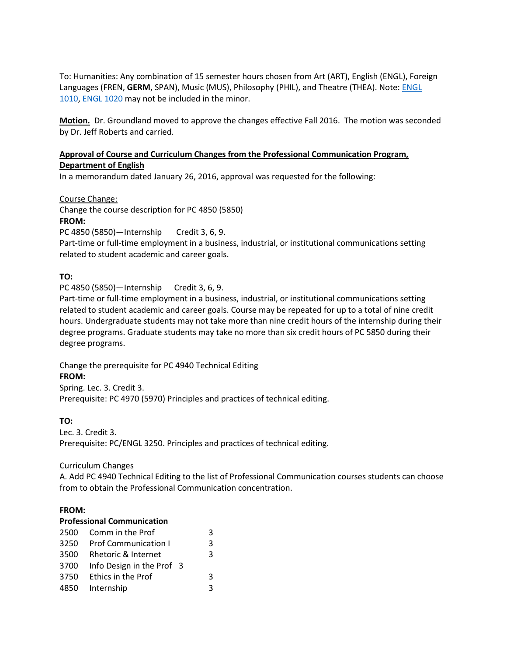To: Humanities: Any combination of 15 semester hours chosen from Art (ART), English (ENGL), Foreign Languages (FREN, **GERM**, SPAN), Music (MUS), Philosophy (PHIL), and Theatre (THEA). Note[: ENGL](http://catalog.tntech.edu/content.php?catoid=19&navoid=3465&hl=%22minors%22&returnto=search#tt6090)  [1010,](http://catalog.tntech.edu/content.php?catoid=19&navoid=3465&hl=%22minors%22&returnto=search#tt6090) [ENGL 1020](http://catalog.tntech.edu/content.php?catoid=19&navoid=3465&hl=%22minors%22&returnto=search#tt8100) may not be included in the minor.

**Motion.** Dr. Groundland moved to approve the changes effective Fall 2016. The motion was seconded by Dr. Jeff Roberts and carried.

## **Approval of Course and Curriculum Changes from the Professional Communication Program, Department of English**

In a memorandum dated January 26, 2016, approval was requested for the following:

Course Change: Change the course description for PC 4850 (5850) **FROM:** PC 4850 (5850)—Internship Credit 3, 6, 9. Part-time or full-time employment in a business, industrial, or institutional communications setting related to student academic and career goals.

## **TO:**

PC 4850 (5850)—Internship Credit 3, 6, 9.

Part-time or full-time employment in a business, industrial, or institutional communications setting related to student academic and career goals. Course may be repeated for up to a total of nine credit hours. Undergraduate students may not take more than nine credit hours of the internship during their degree programs. Graduate students may take no more than six credit hours of PC 5850 during their degree programs.

Change the prerequisite for PC 4940 Technical Editing **FROM:**

Spring. Lec. 3. Credit 3. Prerequisite: PC 4970 (5970) Principles and practices of technical editing.

## **TO:**

Lec. 3. Credit 3. Prerequisite: PC/ENGL 3250. Principles and practices of technical editing.

## Curriculum Changes

A. Add PC 4940 Technical Editing to the list of Professional Communication courses students can choose from to obtain the Professional Communication concentration.

## **FROM:**

### **Professional Communication**

|      | 2500 Comm in the Prof       |  | 3 |
|------|-----------------------------|--|---|
| 3250 | <b>Prof Communication I</b> |  | 3 |
| 3500 | Rhetoric & Internet         |  | 3 |
| 3700 | Info Design in the Prof 3   |  |   |
| 3750 | Ethics in the Prof          |  | ર |
|      | 4850 Internship             |  |   |
|      |                             |  |   |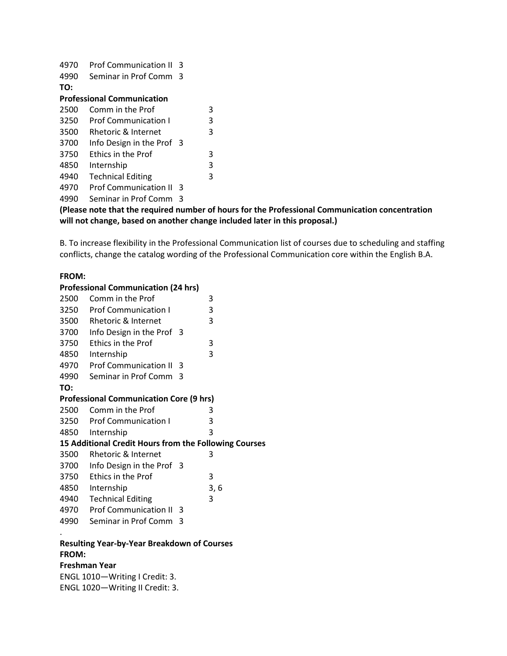| 4970                              | <b>Prof Communication II</b> | κ |   |  |  |
|-----------------------------------|------------------------------|---|---|--|--|
| 4990                              | Seminar in Prof Comm         | 3 |   |  |  |
| TO:                               |                              |   |   |  |  |
| <b>Professional Communication</b> |                              |   |   |  |  |
| 2500                              | Comm in the Prof             |   | 3 |  |  |
| 3250                              | <b>Prof Communication I</b>  |   | 3 |  |  |
| 3500                              | Rhetoric & Internet          |   | 3 |  |  |
| 3700                              | Info Design in the Prof 3    |   |   |  |  |
| 3750                              | <b>Fthics in the Prof</b>    |   | 3 |  |  |
| 4850                              | Internship                   |   | 3 |  |  |
| 4940                              | <b>Technical Editing</b>     |   | 3 |  |  |
| 4970                              | <b>Prof Communication II</b> | 3 |   |  |  |
| 4990                              | Seminar in Prof Comm         | 3 |   |  |  |
|                                   |                              |   |   |  |  |

## **(Please note that the required number of hours for the Professional Communication concentration will not change, based on another change included later in this proposal.)**

B. To increase flexibility in the Professional Communication list of courses due to scheduling and staffing conflicts, change the catalog wording of the Professional Communication core within the English B.A.

#### **FROM:**

#### **Professional Communication (24 hrs)**

| 2500                                                  | Comm in the Prof               |     | 3   |  |  |
|-------------------------------------------------------|--------------------------------|-----|-----|--|--|
| 3250                                                  | <b>Prof Communication I</b>    |     | 3   |  |  |
| 3500                                                  | <b>Rhetoric &amp; Internet</b> |     | 3   |  |  |
| 3700                                                  | Info Design in the Prof 3      |     |     |  |  |
| 3750                                                  | Ethics in the Prof             |     | 3   |  |  |
| 4850                                                  | Internship                     |     | 3   |  |  |
| 4970                                                  | <b>Prof Communication II</b>   | -3  |     |  |  |
| 4990                                                  | Seminar in Prof Comm           | ્વ  |     |  |  |
| TO:                                                   |                                |     |     |  |  |
| <b>Professional Communication Core (9 hrs)</b>        |                                |     |     |  |  |
| 2500                                                  | Comm in the Prof               |     | 3   |  |  |
| 3250                                                  | <b>Prof Communication I</b>    |     | 3   |  |  |
| 4850                                                  | Internship                     |     | 3   |  |  |
| 15 Additional Credit Hours from the Following Courses |                                |     |     |  |  |
| 3500                                                  | Rhetoric & Internet            |     | 3   |  |  |
| 3700                                                  | Info Design in the Prof 3      |     |     |  |  |
| 3750                                                  | <b>Ethics in the Prof</b>      |     | 3   |  |  |
| 4850                                                  | Internship                     |     | 3,6 |  |  |
| 4940                                                  | <b>Technical Editing</b>       |     | 3   |  |  |
| 4970                                                  | <b>Prof Communication II</b>   | -3  |     |  |  |
| 4990                                                  | Seminar in Prof Comm           | - 3 |     |  |  |
|                                                       |                                |     |     |  |  |
|                                                       |                                |     |     |  |  |

### **Resulting Year-by-Year Breakdown of Courses FROM:**

#### **Freshman Year**

ENGL 1010—Writing I Credit: 3. ENGL 1020—Writing II Credit: 3.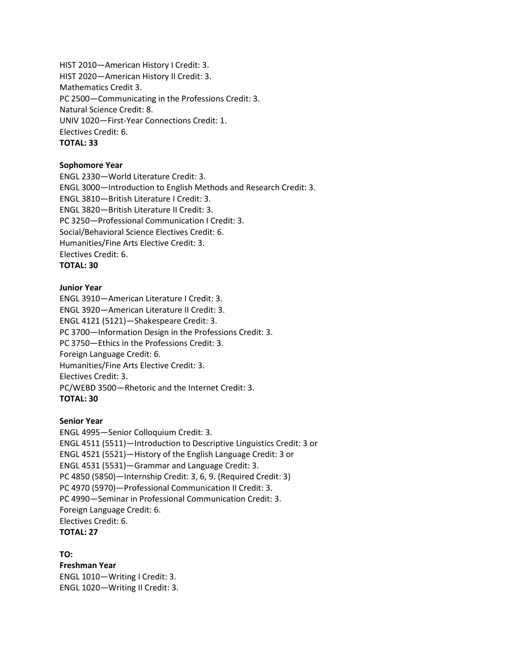HIST 2010—American History I Credit: 3. HIST 2020—American History II Credit: 3. Mathematics Credit 3. PC 2500—Communicating in the Professions Credit: 3. Natural Science Credit: 8. UNIV 1020—First-Year Connections Credit: 1. Electives Credit: 6. **TOTAL: 33**

#### **Sophomore Year**

ENGL 2330—World Literature Credit: 3. ENGL 3000—Introduction to English Methods and Research Credit: 3. ENGL 3810—British Literature I Credit: 3. ENGL 3820—British Literature II Credit: 3. PC 3250—Professional Communication I Credit: 3. Social/Behavioral Science Electives Credit: 6. Humanities/Fine Arts Elective Credit: 3. Electives Credit: 6. **TOTAL: 30**

#### **Junior Year**

ENGL 3910—American Literature I Credit: 3. ENGL 3920—American Literature II Credit: 3. ENGL 4121 (5121)—Shakespeare Credit: 3. PC 3700—Information Design in the Professions Credit: 3. PC 3750—Ethics in the Professions Credit: 3. Foreign Language Credit: 6. Humanities/Fine Arts Elective Credit: 3. Electives Credit: 3. PC/WEBD 3500—Rhetoric and the Internet Credit: 3. **TOTAL: 30**

#### **Senior Year**

ENGL 4995—Senior Colloquium Credit: 3. ENGL 4511 (5511)—Introduction to Descriptive Linguistics Credit: 3 or ENGL 4521 (5521)—History of the English Language Credit: 3 or ENGL 4531 (5531)—Grammar and Language Credit: 3. PC 4850 (5850)—Internship Credit: 3, 6, 9. (Required Credit: 3) PC 4970 (5970)—Professional Communication II Credit: 3. PC 4990—Seminar in Professional Communication Credit: 3. Foreign Language Credit: 6. Electives Credit: 6. **TOTAL: 27**

### **TO:**

**Freshman Year** ENGL 1010—Writing I Credit: 3. ENGL 1020—Writing II Credit: 3.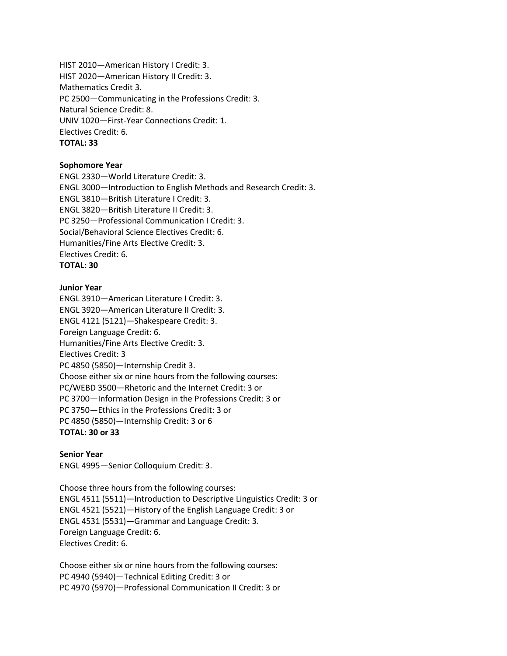HIST 2010—American History I Credit: 3. HIST 2020—American History II Credit: 3. Mathematics Credit 3. PC 2500—Communicating in the Professions Credit: 3. Natural Science Credit: 8. UNIV 1020—First-Year Connections Credit: 1. Electives Credit: 6. **TOTAL: 33**

#### **Sophomore Year**

ENGL 2330—World Literature Credit: 3. ENGL 3000—Introduction to English Methods and Research Credit: 3. ENGL 3810—British Literature I Credit: 3. ENGL 3820—British Literature II Credit: 3. PC 3250—Professional Communication I Credit: 3. Social/Behavioral Science Electives Credit: 6. Humanities/Fine Arts Elective Credit: 3. Electives Credit: 6. **TOTAL: 30**

#### **Junior Year**

ENGL 3910—American Literature I Credit: 3. ENGL 3920—American Literature II Credit: 3. ENGL 4121 (5121)—Shakespeare Credit: 3. Foreign Language Credit: 6. Humanities/Fine Arts Elective Credit: 3. Electives Credit: 3 PC 4850 (5850)—Internship Credit 3. Choose either six or nine hours from the following courses: PC/WEBD 3500—Rhetoric and the Internet Credit: 3 or PC 3700—Information Design in the Professions Credit: 3 or PC 3750—Ethics in the Professions Credit: 3 or PC 4850 (5850)—Internship Credit: 3 or 6 **TOTAL: 30 or 33**

#### **Senior Year**

ENGL 4995—Senior Colloquium Credit: 3.

Choose three hours from the following courses: ENGL 4511 (5511)—Introduction to Descriptive Linguistics Credit: 3 or ENGL 4521 (5521)—History of the English Language Credit: 3 or ENGL 4531 (5531)—Grammar and Language Credit: 3. Foreign Language Credit: 6. Electives Credit: 6.

Choose either six or nine hours from the following courses: PC 4940 (5940)—Technical Editing Credit: 3 or PC 4970 (5970)—Professional Communication II Credit: 3 or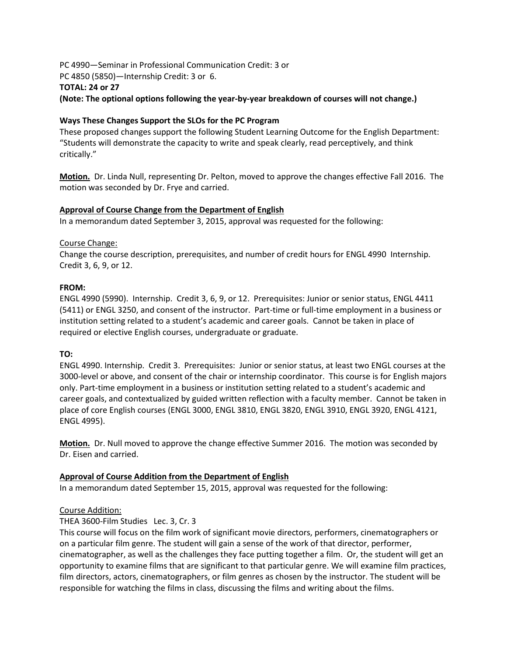PC 4990—Seminar in Professional Communication Credit: 3 or PC 4850 (5850)—Internship Credit: 3 or 6. **TOTAL: 24 or 27**

**(Note: The optional options following the year-by-year breakdown of courses will not change.)**

## **Ways These Changes Support the SLOs for the PC Program**

These proposed changes support the following Student Learning Outcome for the English Department: "Students will demonstrate the capacity to write and speak clearly, read perceptively, and think critically."

**Motion.** Dr. Linda Null, representing Dr. Pelton, moved to approve the changes effective Fall 2016. The motion was seconded by Dr. Frye and carried.

### **Approval of Course Change from the Department of English**

In a memorandum dated September 3, 2015, approval was requested for the following:

### Course Change:

Change the course description, prerequisites, and number of credit hours for ENGL 4990 Internship. Credit 3, 6, 9, or 12.

### **FROM:**

ENGL 4990 (5990). Internship. Credit 3, 6, 9, or 12. Prerequisites: Junior or senior status, ENGL 4411 (5411) or ENGL 3250, and consent of the instructor. Part-time or full-time employment in a business or institution setting related to a student's academic and career goals. Cannot be taken in place of required or elective English courses, undergraduate or graduate.

## **TO:**

ENGL 4990. Internship. Credit 3. Prerequisites: Junior or senior status, at least two ENGL courses at the 3000-level or above, and consent of the chair or internship coordinator. This course is for English majors only. Part-time employment in a business or institution setting related to a student's academic and career goals, and contextualized by guided written reflection with a faculty member. Cannot be taken in place of core English courses (ENGL 3000, ENGL 3810, ENGL 3820, ENGL 3910, ENGL 3920, ENGL 4121, ENGL 4995).

**Motion.** Dr. Null moved to approve the change effective Summer 2016. The motion was seconded by Dr. Eisen and carried.

## **Approval of Course Addition from the Department of English**

In a memorandum dated September 15, 2015, approval was requested for the following:

## Course Addition:

## THEA 3600-Film Studies Lec. 3, Cr. 3

This course will focus on the film work of significant movie directors, performers, cinematographers or on a particular film genre. The student will gain a sense of the work of that director, performer, cinematographer, as well as the challenges they face putting together a film. Or, the student will get an opportunity to examine films that are significant to that particular genre. We will examine film practices, film directors, actors, cinematographers, or film genres as chosen by the instructor. The student will be responsible for watching the films in class, discussing the films and writing about the films.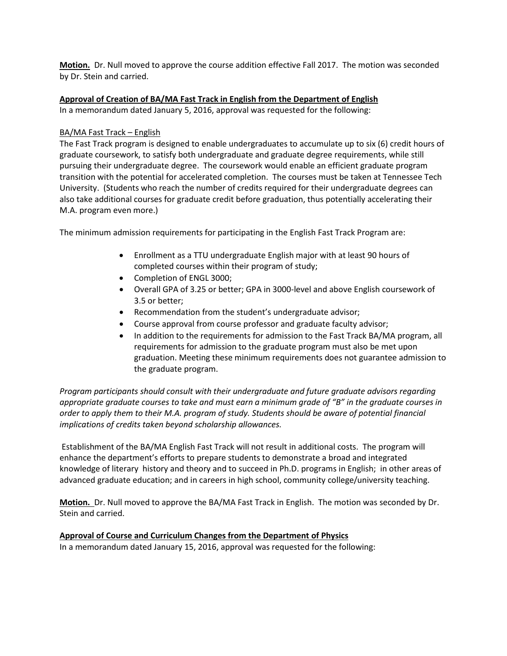**Motion.** Dr. Null moved to approve the course addition effective Fall 2017. The motion was seconded by Dr. Stein and carried.

### **Approval of Creation of BA/MA Fast Track in English from the Department of English**

In a memorandum dated January 5, 2016, approval was requested for the following:

### BA/MA Fast Track – English

The Fast Track program is designed to enable undergraduates to accumulate up to six (6) credit hours of graduate coursework, to satisfy both undergraduate and graduate degree requirements, while still pursuing their undergraduate degree. The coursework would enable an efficient graduate program transition with the potential for accelerated completion. The courses must be taken at Tennessee Tech University. (Students who reach the number of credits required for their undergraduate degrees can also take additional courses for graduate credit before graduation, thus potentially accelerating their M.A. program even more.)

The minimum admission requirements for participating in the English Fast Track Program are:

- Enrollment as a TTU undergraduate English major with at least 90 hours of completed courses within their program of study;
- Completion of ENGL 3000;
- Overall GPA of 3.25 or better; GPA in 3000-level and above English coursework of 3.5 or better;
- Recommendation from the student's undergraduate advisor;
- Course approval from course professor and graduate faculty advisor;
- In addition to the requirements for admission to the Fast Track BA/MA program, all requirements for admission to the graduate program must also be met upon graduation. Meeting these minimum requirements does not guarantee admission to the graduate program.

*Program participants should consult with their undergraduate and future graduate advisors regarding appropriate graduate courses to take and must earn a minimum grade of "B" in the graduate courses in order to apply them to their M.A. program of study. Students should be aware of potential financial implications of credits taken beyond scholarship allowances.*

Establishment of the BA/MA English Fast Track will not result in additional costs. The program will enhance the department's efforts to prepare students to demonstrate a broad and integrated knowledge of literary history and theory and to succeed in Ph.D. programs in English; in other areas of advanced graduate education; and in careers in high school, community college/university teaching.

**Motion.** Dr. Null moved to approve the BA/MA Fast Track in English. The motion was seconded by Dr. Stein and carried.

## **Approval of Course and Curriculum Changes from the Department of Physics**

In a memorandum dated January 15, 2016, approval was requested for the following: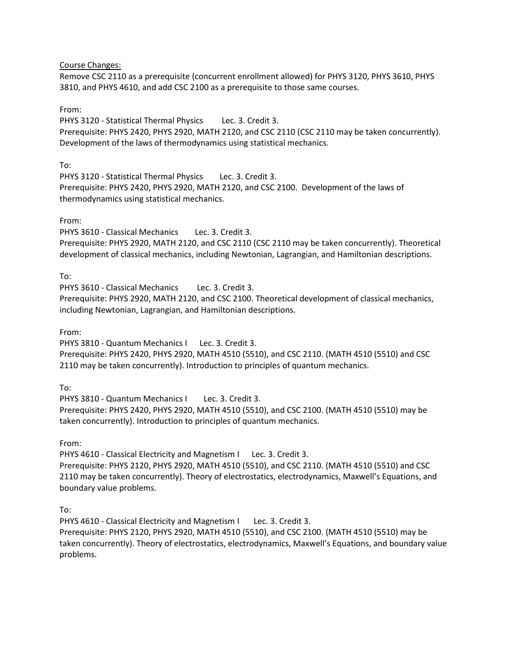Course Changes:

Remove CSC 2110 as a prerequisite (concurrent enrollment allowed) for PHYS 3120, PHYS 3610, PHYS 3810, and PHYS 4610, and add CSC 2100 as a prerequisite to those same courses.

From:

PHYS 3120 - Statistical Thermal Physics Lec. 3. Credit 3. Prerequisite: PHYS 2420, PHYS 2920, MATH 2120, and CSC 2110 (CSC 2110 may be taken concurrently). Development of the laws of thermodynamics using statistical mechanics.

To:

PHYS 3120 - Statistical Thermal Physics Lec. 3. Credit 3. Prerequisite: PHYS 2420, PHYS 2920, MATH 2120, and CSC 2100. Development of the laws of thermodynamics using statistical mechanics.

From:

PHYS 3610 - Classical Mechanics Lec. 3. Credit 3. Prerequisite: PHYS 2920, MATH 2120, and CSC 2110 (CSC 2110 may be taken concurrently). Theoretical development of classical mechanics, including Newtonian, Lagrangian, and Hamiltonian descriptions.

To:

PHYS 3610 - Classical Mechanics Lec. 3. Credit 3. Prerequisite: PHYS 2920, MATH 2120, and CSC 2100. Theoretical development of classical mechanics, including Newtonian, Lagrangian, and Hamiltonian descriptions.

From:

PHYS 3810 - Quantum Mechanics I Lec. 3. Credit 3.

Prerequisite: PHYS 2420, PHYS 2920, MATH 4510 (5510), and CSC 2110. (MATH 4510 (5510) and CSC 2110 may be taken concurrently). Introduction to principles of quantum mechanics.

To:

PHYS 3810 - Quantum Mechanics I Lec. 3. Credit 3. Prerequisite: PHYS 2420, PHYS 2920, MATH 4510 (5510), and CSC 2100. (MATH 4510 (5510) may be taken concurrently). Introduction to principles of quantum mechanics.

From:

PHYS 4610 - Classical Electricity and Magnetism I Lec. 3. Credit 3.

Prerequisite: PHYS 2120, PHYS 2920, MATH 4510 (5510), and CSC 2110. (MATH 4510 (5510) and CSC 2110 may be taken concurrently). Theory of electrostatics, electrodynamics, Maxwell's Equations, and boundary value problems.

To:

PHYS 4610 - Classical Electricity and Magnetism I Lec. 3. Credit 3. Prerequisite: PHYS 2120, PHYS 2920, MATH 4510 (5510), and CSC 2100. (MATH 4510 (5510) may be taken concurrently). Theory of electrostatics, electrodynamics, Maxwell's Equations, and boundary value problems.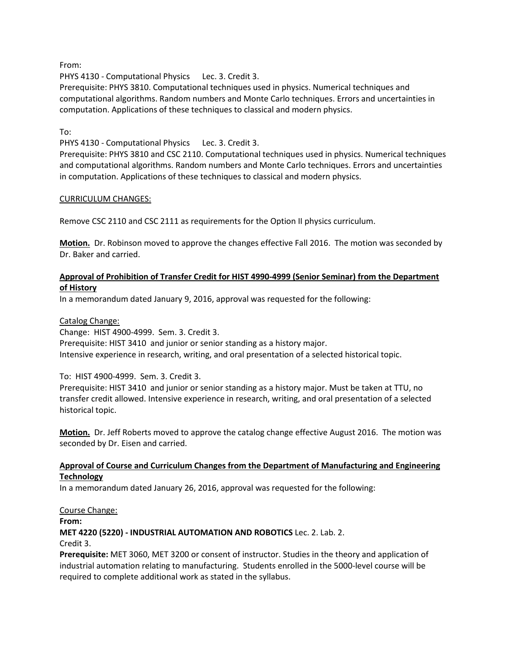From:

PHYS 4130 - Computational Physics Lec. 3. Credit 3.

Prerequisite: PHYS 3810. Computational techniques used in physics. Numerical techniques and computational algorithms. Random numbers and Monte Carlo techniques. Errors and uncertainties in computation. Applications of these techniques to classical and modern physics.

### To:

PHYS 4130 - Computational Physics Lec. 3. Credit 3.

Prerequisite: PHYS 3810 and CSC 2110. Computational techniques used in physics. Numerical techniques and computational algorithms. Random numbers and Monte Carlo techniques. Errors and uncertainties in computation. Applications of these techniques to classical and modern physics.

### CURRICULUM CHANGES:

Remove CSC 2110 and CSC 2111 as requirements for the Option II physics curriculum.

**Motion.** Dr. Robinson moved to approve the changes effective Fall 2016. The motion was seconded by Dr. Baker and carried.

### **Approval of Prohibition of Transfer Credit for HIST 4990-4999 (Senior Seminar) from the Department of History**

In a memorandum dated January 9, 2016, approval was requested for the following:

### Catalog Change:

Change: HIST 4900-4999. Sem. 3. Credit 3. Prerequisite: HIST 3410 and junior or senior standing as a history major. Intensive experience in research, writing, and oral presentation of a selected historical topic.

### To: HIST 4900-4999. Sem. 3. Credit 3.

Prerequisite: HIST 3410 and junior or senior standing as a history major. Must be taken at TTU, no transfer credit allowed. Intensive experience in research, writing, and oral presentation of a selected historical topic.

**Motion.** Dr. Jeff Roberts moved to approve the catalog change effective August 2016. The motion was seconded by Dr. Eisen and carried.

### **Approval of Course and Curriculum Changes from the Department of Manufacturing and Engineering Technology**

In a memorandum dated January 26, 2016, approval was requested for the following:

### Course Change:

**From:** 

**MET 4220 (5220) - INDUSTRIAL AUTOMATION AND ROBOTICS** Lec. 2. Lab. 2.

#### Credit 3.

**Prerequisite:** MET 3060, MET 3200 or consent of instructor. Studies in the theory and application of industrial automation relating to manufacturing. Students enrolled in the 5000-level course will be required to complete additional work as stated in the syllabus.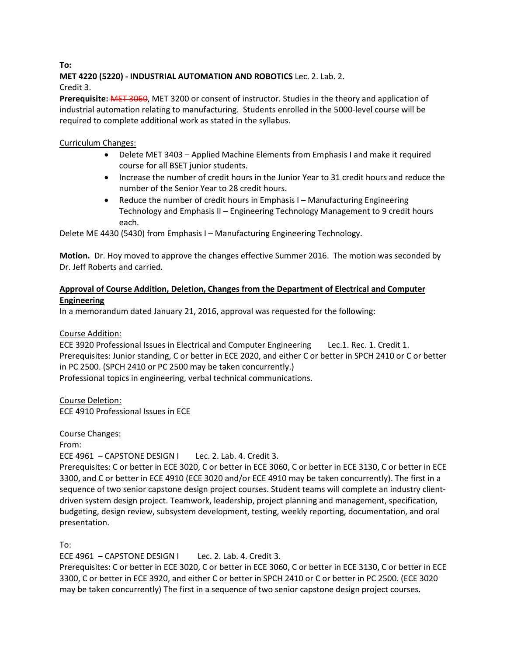# **MET 4220 (5220) - INDUSTRIAL AUTOMATION AND ROBOTICS** Lec. 2. Lab. 2.

Credit 3.

**Prerequisite:** MET 3060, MET 3200 or consent of instructor. Studies in the theory and application of industrial automation relating to manufacturing. Students enrolled in the 5000-level course will be required to complete additional work as stated in the syllabus.

# Curriculum Changes:

- Delete MET 3403 Applied Machine Elements from Emphasis I and make it required course for all BSET junior students.
- Increase the number of credit hours in the Junior Year to 31 credit hours and reduce the number of the Senior Year to 28 credit hours.
- Reduce the number of credit hours in Emphasis I Manufacturing Engineering Technology and Emphasis II – Engineering Technology Management to 9 credit hours each.

Delete ME 4430 (5430) from Emphasis I – Manufacturing Engineering Technology.

**Motion.** Dr. Hoy moved to approve the changes effective Summer 2016. The motion was seconded by Dr. Jeff Roberts and carried.

## **Approval of Course Addition, Deletion, Changes from the Department of Electrical and Computer Engineering**

In a memorandum dated January 21, 2016, approval was requested for the following:

## Course Addition:

ECE 3920 Professional Issues in Electrical and Computer Engineering Lec.1. Rec. 1. Credit 1. Prerequisites: Junior standing, C or better in ECE 2020, and either C or better in SPCH 2410 or C or better in PC 2500. (SPCH 2410 or PC 2500 may be taken concurrently.)

Professional topics in engineering, verbal technical communications.

Course Deletion: ECE 4910 Professional Issues in ECE

Course Changes:

From:

ECE 4961 - CAPSTONE DESIGN I Lec. 2. Lab. 4. Credit 3.

Prerequisites: C or better in ECE 3020, C or better in ECE 3060, C or better in ECE 3130, C or better in ECE 3300, and C or better in ECE 4910 (ECE 3020 and/or ECE 4910 may be taken concurrently). The first in a sequence of two senior capstone design project courses. Student teams will complete an industry clientdriven system design project. Teamwork, leadership, project planning and management, specification, budgeting, design review, subsystem development, testing, weekly reporting, documentation, and oral presentation.

To:

ECE 4961 - CAPSTONE DESIGN I Lec. 2. Lab. 4. Credit 3.

Prerequisites: C or better in ECE 3020, C or better in ECE 3060, C or better in ECE 3130, C or better in ECE 3300, C or better in ECE 3920, and either C or better in SPCH 2410 or C or better in PC 2500. (ECE 3020 may be taken concurrently) The first in a sequence of two senior capstone design project courses.

**To:**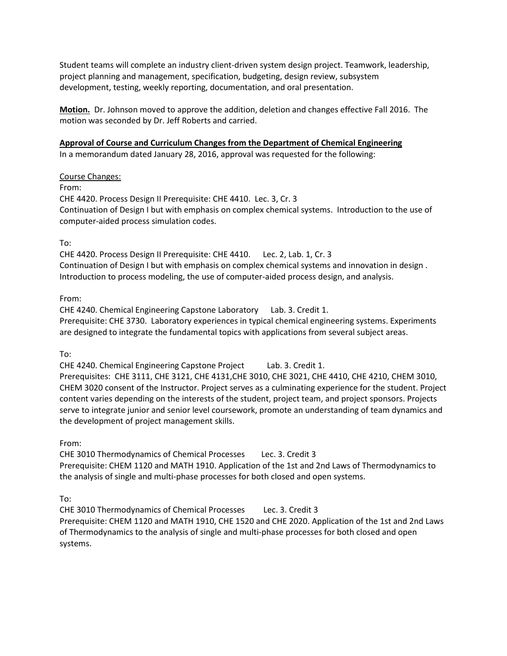Student teams will complete an industry client-driven system design project. Teamwork, leadership, project planning and management, specification, budgeting, design review, subsystem development, testing, weekly reporting, documentation, and oral presentation.

**Motion.** Dr. Johnson moved to approve the addition, deletion and changes effective Fall 2016. The motion was seconded by Dr. Jeff Roberts and carried.

### **Approval of Course and Curriculum Changes from the Department of Chemical Engineering**

In a memorandum dated January 28, 2016, approval was requested for the following:

Course Changes:

From:

CHE 4420. Process Design II Prerequisite: CHE 4410. Lec. 3, Cr. 3 Continuation of Design I but with emphasis on complex chemical systems. Introduction to the use of computer-aided process simulation codes.

To:

CHE 4420. Process Design II Prerequisite: CHE 4410. Lec. 2, Lab. 1, Cr. 3 Continuation of Design I but with emphasis on complex chemical systems and innovation in design . Introduction to process modeling, the use of computer-aided process design, and analysis.

From:

CHE 4240. Chemical Engineering Capstone Laboratory Lab. 3. Credit 1. Prerequisite: CHE 3730. Laboratory experiences in typical chemical engineering systems. Experiments are designed to integrate the fundamental topics with applications from several subject areas.

To:

CHE 4240. Chemical Engineering Capstone Project Lab. 3. Credit 1. Prerequisites: CHE 3111, CHE 3121, CHE 4131,CHE 3010, CHE 3021, CHE 4410, CHE 4210, CHEM 3010, CHEM 3020 consent of the Instructor. Project serves as a culminating experience for the student. Project content varies depending on the interests of the student, project team, and project sponsors. Projects serve to integrate junior and senior level coursework, promote an understanding of team dynamics and the development of project management skills.

From:

CHE 3010 Thermodynamics of Chemical Processes Lec. 3. Credit 3

Prerequisite: CHEM 1120 and MATH 1910. Application of the 1st and 2nd Laws of Thermodynamics to the analysis of single and multi-phase processes for both closed and open systems.

To:

CHE 3010 Thermodynamics of Chemical Processes Lec. 3. Credit 3 Prerequisite: CHEM 1120 and MATH 1910, CHE 1520 and CHE 2020. Application of the 1st and 2nd Laws of Thermodynamics to the analysis of single and multi-phase processes for both closed and open systems.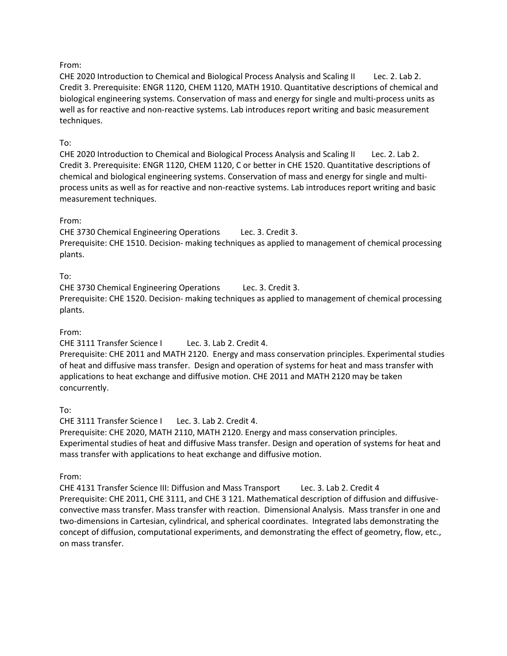### From:

CHE 2020 Introduction to Chemical and Biological Process Analysis and Scaling II Lec. 2. Lab 2. Credit 3. Prerequisite: ENGR 1120, CHEM 1120, MATH 1910. Quantitative descriptions of chemical and biological engineering systems. Conservation of mass and energy for single and multi-process units as well as for reactive and non-reactive systems. Lab introduces report writing and basic measurement techniques.

## To:

CHE 2020 Introduction to Chemical and Biological Process Analysis and Scaling II Lec. 2. Lab 2. Credit 3. Prerequisite: ENGR 1120, CHEM 1120, C or better in CHE 1520. Quantitative descriptions of chemical and biological engineering systems. Conservation of mass and energy for single and multiprocess units as well as for reactive and non-reactive systems. Lab introduces report writing and basic measurement techniques.

### From:

CHE 3730 Chemical Engineering Operations Lec. 3. Credit 3.

Prerequisite: CHE 1510. Decision- making techniques as applied to management of chemical processing plants.

### To:

CHE 3730 Chemical Engineering Operations Lec. 3. Credit 3.

Prerequisite: CHE 1520. Decision- making techniques as applied to management of chemical processing plants.

### From:

CHE 3111 Transfer Science I Lec. 3. Lab 2. Credit 4.

Prerequisite: CHE 2011 and MATH 2120. Energy and mass conservation principles. Experimental studies of heat and diffusive mass transfer. Design and operation of systems for heat and mass transfer with applications to heat exchange and diffusive motion. CHE 2011 and MATH 2120 may be taken concurrently.

# To:

CHE 3111 Transfer Science I Lec. 3. Lab 2. Credit 4.

Prerequisite: CHE 2020, MATH 2110, MATH 2120. Energy and mass conservation principles. Experimental studies of heat and diffusive Mass transfer. Design and operation of systems for heat and mass transfer with applications to heat exchange and diffusive motion.

From:

CHE 4131 Transfer Science III: Diffusion and Mass Transport Lec. 3. Lab 2. Credit 4 Prerequisite: CHE 2011, CHE 3111, and CHE 3 121. Mathematical description of diffusion and diffusiveconvective mass transfer. Mass transfer with reaction. Dimensional Analysis. Mass transfer in one and two-dimensions in Cartesian, cylindrical, and spherical coordinates. Integrated labs demonstrating the concept of diffusion, computational experiments, and demonstrating the effect of geometry, flow, etc., on mass transfer.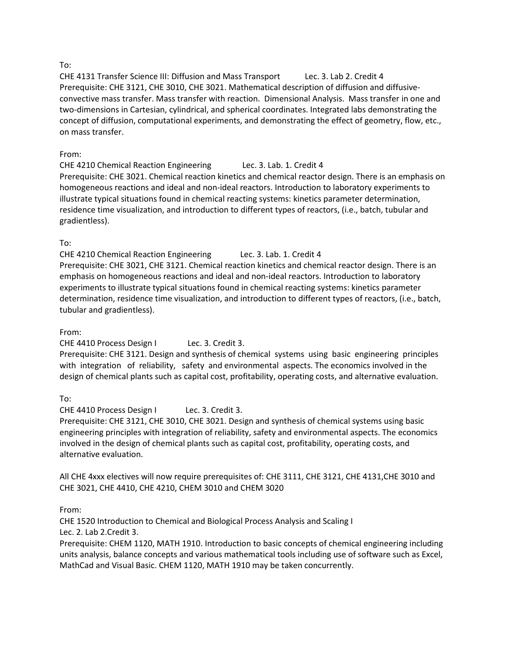### To:

CHE 4131 Transfer Science III: Diffusion and Mass Transport Lec. 3. Lab 2. Credit 4 Prerequisite: CHE 3121, CHE 3010, CHE 3021. Mathematical description of diffusion and diffusiveconvective mass transfer. Mass transfer with reaction. Dimensional Analysis. Mass transfer in one and two-dimensions in Cartesian, cylindrical, and spherical coordinates. Integrated labs demonstrating the concept of diffusion, computational experiments, and demonstrating the effect of geometry, flow, etc., on mass transfer.

### From:

CHE 4210 Chemical Reaction Engineering Lec. 3. Lab. 1. Credit 4 Prerequisite: CHE 3021. Chemical reaction kinetics and chemical reactor design. There is an emphasis on homogeneous reactions and ideal and non-ideal reactors. Introduction to laboratory experiments to illustrate typical situations found in chemical reacting systems: kinetics parameter determination, residence time visualization, and introduction to different types of reactors, (i.e., batch, tubular and gradientless).

## To:

CHE 4210 Chemical Reaction Engineering Lec. 3. Lab. 1. Credit 4 Prerequisite: CHE 3021, CHE 3121. Chemical reaction kinetics and chemical reactor design. There is an emphasis on homogeneous reactions and ideal and non-ideal reactors. Introduction to laboratory experiments to illustrate typical situations found in chemical reacting systems: kinetics parameter determination, residence time visualization, and introduction to different types of reactors, (i.e., batch, tubular and gradientless).

### From:

CHE 4410 Process Design I Lec. 3. Credit 3.

Prerequisite: CHE 3121. Design and synthesis of chemical systems using basic engineering principles with integration of reliability, safety and environmental aspects. The economics involved in the design of chemical plants such as capital cost, profitability, operating costs, and alternative evaluation.

## To:

CHE 4410 Process Design I Lec. 3. Credit 3.

Prerequisite: CHE 3121, CHE 3010, CHE 3021. Design and synthesis of chemical systems using basic engineering principles with integration of reliability, safety and environmental aspects. The economics involved in the design of chemical plants such as capital cost, profitability, operating costs, and alternative evaluation.

All CHE 4xxx electives will now require prerequisites of: CHE 3111, CHE 3121, CHE 4131,CHE 3010 and CHE 3021, CHE 4410, CHE 4210, CHEM 3010 and CHEM 3020

## From:

CHE 1520 Introduction to Chemical and Biological Process Analysis and Scaling I Lec. 2. Lab 2.Credit 3.

Prerequisite: CHEM 1120, MATH 1910. Introduction to basic concepts of chemical engineering including units analysis, balance concepts and various mathematical tools including use of software such as Excel, MathCad and Visual Basic. CHEM 1120, MATH 1910 may be taken concurrently.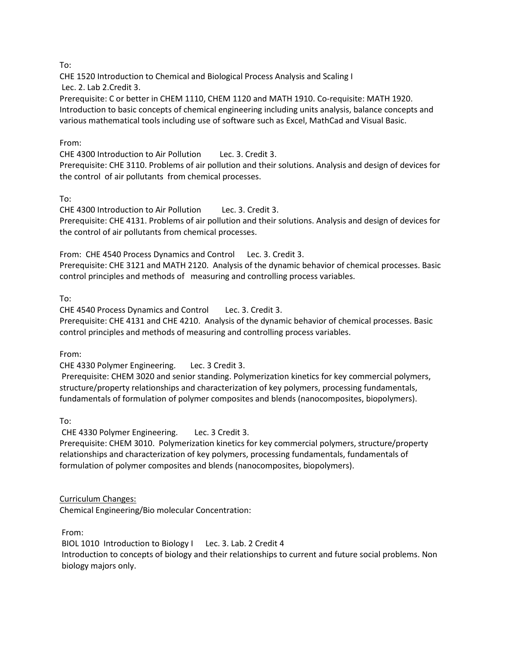To:

CHE 1520 Introduction to Chemical and Biological Process Analysis and Scaling I

Lec. 2. Lab 2.Credit 3.

Prerequisite: C or better in CHEM 1110, CHEM 1120 and MATH 1910. Co-requisite: MATH 1920. Introduction to basic concepts of chemical engineering including units analysis, balance concepts and various mathematical tools including use of software such as Excel, MathCad and Visual Basic.

## From:

CHE 4300 Introduction to Air Pollution Lec. 3. Credit 3. Prerequisite: CHE 3110. Problems of air pollution and their solutions. Analysis and design of devices for the control of air pollutants from chemical processes.

To:

CHE 4300 Introduction to Air Pollution Lec. 3. Credit 3. Prerequisite: CHE 4131. Problems of air pollution and their solutions. Analysis and design of devices for the control of air pollutants from chemical processes.

From: CHE 4540 Process Dynamics and Control Lec. 3. Credit 3. Prerequisite: CHE 3121 and MATH 2120. Analysis of the dynamic behavior of chemical processes. Basic control principles and methods of measuring and controlling process variables.

To:

CHE 4540 Process Dynamics and Control Lec. 3. Credit 3. Prerequisite: CHE 4131 and CHE 4210. Analysis of the dynamic behavior of chemical processes. Basic control principles and methods of measuring and controlling process variables.

From:

CHE 4330 Polymer Engineering. Lec. 3 Credit 3.

Prerequisite: CHEM 3020 and senior standing. Polymerization kinetics for key commercial polymers, structure/property relationships and characterization of key polymers, processing fundamentals, fundamentals of formulation of polymer composites and blends (nanocomposites, biopolymers).

To:

CHE 4330 Polymer Engineering. Lec. 3 Credit 3.

Prerequisite: CHEM 3010. Polymerization kinetics for key commercial polymers, structure/property relationships and characterization of key polymers, processing fundamentals, fundamentals of formulation of polymer composites and blends (nanocomposites, biopolymers).

Curriculum Changes:

Chemical Engineering/Bio molecular Concentration:

From:

BIOL 1010 Introduction to Biology I Lec. 3. Lab. 2 Credit 4 Introduction to concepts of biology and their relationships to current and future social problems. Non biology majors only.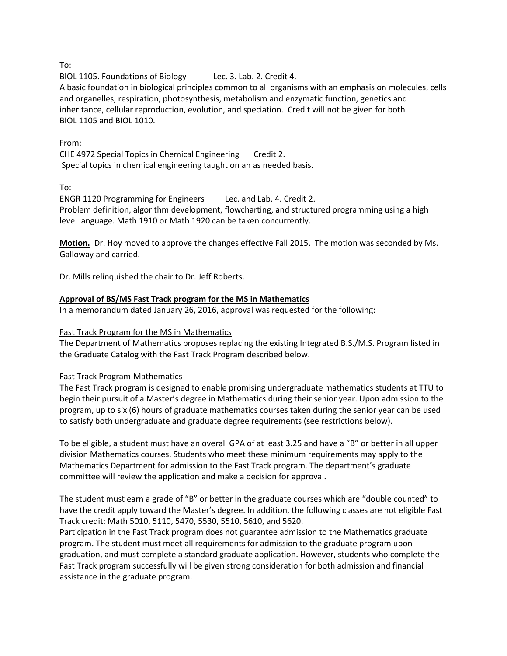To:

BIOL 1105. Foundations of Biology Lec. 3. Lab. 2. Credit 4.

A basic foundation in biological principles common to all organisms with an emphasis on molecules, cells and organelles, respiration, photosynthesis, metabolism and enzymatic function, genetics and inheritance, cellular reproduction, evolution, and speciation. Credit will not be given for both BIOL 1105 and BIOL 1010.

### From:

CHE 4972 Special Topics in Chemical Engineering Credit 2. Special topics in chemical engineering taught on an as needed basis.

To:

ENGR 1120 Programming for Engineers Lec. and Lab. 4. Credit 2. Problem definition, algorithm development, flowcharting, and structured programming using a high level language. Math 1910 or Math 1920 can be taken concurrently.

**Motion.** Dr. Hoy moved to approve the changes effective Fall 2015. The motion was seconded by Ms. Galloway and carried.

Dr. Mills relinquished the chair to Dr. Jeff Roberts.

### **Approval of BS/MS Fast Track program for the MS in Mathematics**

In a memorandum dated January 26, 2016, approval was requested for the following:

### Fast Track Program for the MS in Mathematics

The Department of Mathematics proposes replacing the existing Integrated B.S./M.S. Program listed in the Graduate Catalog with the Fast Track Program described below.

### Fast Track Program-Mathematics

The Fast Track program is designed to enable promising undergraduate mathematics students at TTU to begin their pursuit of a Master's degree in Mathematics during their senior year. Upon admission to the program, up to six (6) hours of graduate mathematics courses taken during the senior year can be used to satisfy both undergraduate and graduate degree requirements (see restrictions below).

To be eligible, a student must have an overall GPA of at least 3.25 and have a "B" or better in all upper division Mathematics courses. Students who meet these minimum requirements may apply to the Mathematics Department for admission to the Fast Track program. The department's graduate committee will review the application and make a decision for approval.

The student must earn a grade of "B" or better in the graduate courses which are "double counted" to have the credit apply toward the Master's degree. In addition, the following classes are not eligible Fast Track credit: Math 5010, 5110, 5470, 5530, 5510, 5610, and 5620.

Participation in the Fast Track program does not guarantee admission to the Mathematics graduate program. The student must meet all requirements for admission to the graduate program upon graduation, and must complete a standard graduate application. However, students who complete the Fast Track program successfully will be given strong consideration for both admission and financial assistance in the graduate program.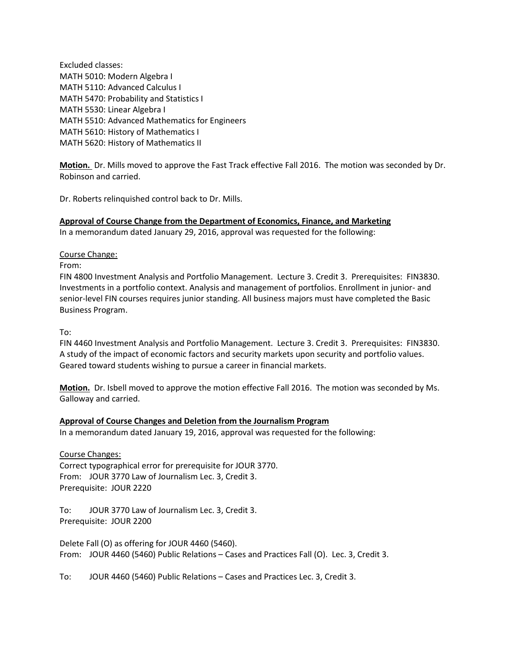Excluded classes: MATH 5010: Modern Algebra I MATH 5110: Advanced Calculus I MATH 5470: Probability and Statistics I MATH 5530: Linear Algebra I MATH 5510: Advanced Mathematics for Engineers MATH 5610: History of Mathematics I MATH 5620: History of Mathematics II

**Motion.** Dr. Mills moved to approve the Fast Track effective Fall 2016. The motion was seconded by Dr. Robinson and carried.

Dr. Roberts relinquished control back to Dr. Mills.

**Approval of Course Change from the Department of Economics, Finance, and Marketing**

In a memorandum dated January 29, 2016, approval was requested for the following:

#### Course Change:

From:

FIN 4800 Investment Analysis and Portfolio Management. Lecture 3. Credit 3. Prerequisites: FIN3830. Investments in a portfolio context. Analysis and management of portfolios. Enrollment in junior- and senior-level FIN courses requires junior standing. All business majors must have completed the Basic Business Program.

To:

FIN 4460 Investment Analysis and Portfolio Management. Lecture 3. Credit 3. Prerequisites: FIN3830. A study of the impact of economic factors and security markets upon security and portfolio values. Geared toward students wishing to pursue a career in financial markets.

**Motion.** Dr. Isbell moved to approve the motion effective Fall 2016. The motion was seconded by Ms. Galloway and carried.

### **Approval of Course Changes and Deletion from the Journalism Program**

In a memorandum dated January 19, 2016, approval was requested for the following:

Course Changes: Correct typographical error for prerequisite for JOUR 3770. From: JOUR 3770 Law of Journalism Lec. 3, Credit 3. Prerequisite: JOUR 2220

To: JOUR 3770 Law of Journalism Lec. 3, Credit 3. Prerequisite: JOUR 2200

Delete Fall (O) as offering for JOUR 4460 (5460). From: JOUR 4460 (5460) Public Relations – Cases and Practices Fall (O). Lec. 3, Credit 3.

To: JOUR 4460 (5460) Public Relations – Cases and Practices Lec. 3, Credit 3.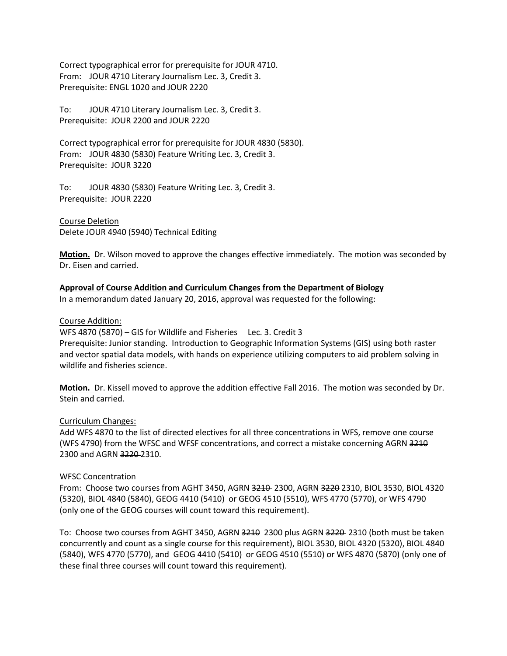Correct typographical error for prerequisite for JOUR 4710. From: JOUR 4710 Literary Journalism Lec. 3, Credit 3. Prerequisite: ENGL 1020 and JOUR 2220

To: JOUR 4710 Literary Journalism Lec. 3, Credit 3. Prerequisite: JOUR 2200 and JOUR 2220

Correct typographical error for prerequisite for JOUR 4830 (5830). From: JOUR 4830 (5830) Feature Writing Lec. 3, Credit 3. Prerequisite: JOUR 3220

To: JOUR 4830 (5830) Feature Writing Lec. 3, Credit 3. Prerequisite: JOUR 2220

Course Deletion Delete JOUR 4940 (5940) Technical Editing

**Motion.** Dr. Wilson moved to approve the changes effective immediately. The motion was seconded by Dr. Eisen and carried.

### **Approval of Course Addition and Curriculum Changes from the Department of Biology**

In a memorandum dated January 20, 2016, approval was requested for the following:

Course Addition:

WFS 4870 (5870) – GIS for Wildlife and Fisheries Lec. 3. Credit 3 Prerequisite: Junior standing. Introduction to Geographic Information Systems (GIS) using both raster and vector spatial data models, with hands on experience utilizing computers to aid problem solving in wildlife and fisheries science.

**Motion.** Dr. Kissell moved to approve the addition effective Fall 2016. The motion was seconded by Dr. Stein and carried.

### Curriculum Changes:

Add WFS 4870 to the list of directed electives for all three concentrations in WFS, remove one course (WFS 4790) from the WFSC and WFSF concentrations, and correct a mistake concerning AGRN 3210 2300 and AGRN 3220 2310.

#### WFSC Concentration

From: Choose two courses from AGHT 3450, AGRN 3210 2300, AGRN 3220 2310, BIOL 3530, BIOL 4320 (5320), BIOL 4840 (5840), GEOG 4410 (5410) or GEOG 4510 (5510), WFS 4770 (5770), or WFS 4790 (only one of the GEOG courses will count toward this requirement).

To: Choose two courses from AGHT 3450, AGRN 3210 2300 plus AGRN 3220-2310 (both must be taken concurrently and count as a single course for this requirement), BIOL 3530, BIOL 4320 (5320), BIOL 4840 (5840), WFS 4770 (5770), and GEOG 4410 (5410) or GEOG 4510 (5510) or WFS 4870 (5870) (only one of these final three courses will count toward this requirement).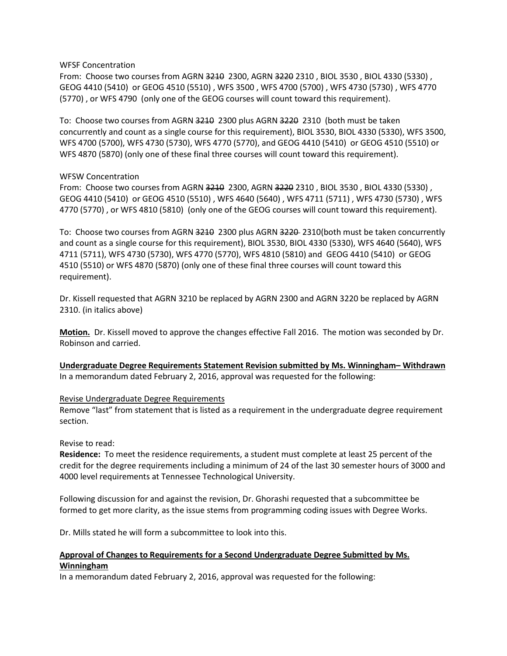WFSF Concentration

From: Choose two courses from AGRN 3210 2300, AGRN 3220 2310, BIOL 3530, BIOL 4330 (5330), GEOG 4410 (5410) or GEOG 4510 (5510) , WFS 3500 , WFS 4700 (5700) , WFS 4730 (5730) , WFS 4770 (5770) , or WFS 4790 (only one of the GEOG courses will count toward this requirement).

To: Choose two courses from AGRN 3210 2300 plus AGRN 3220 2310 (both must be taken concurrently and count as a single course for this requirement), BIOL 3530, BIOL 4330 (5330), WFS 3500, WFS 4700 (5700), WFS 4730 (5730), WFS 4770 (5770), and GEOG 4410 (5410) or GEOG 4510 (5510) or WFS 4870 (5870) (only one of these final three courses will count toward this requirement).

### WFSW Concentration

From: Choose two courses from AGRN 3210 2300, AGRN 3220 2310, BIOL 3530, BIOL 4330 (5330), GEOG 4410 (5410) or GEOG 4510 (5510) , WFS 4640 (5640) , WFS 4711 (5711) , WFS 4730 (5730) , WFS 4770 (5770) , or WFS 4810 (5810) (only one of the GEOG courses will count toward this requirement).

To: Choose two courses from AGRN 3210 2300 plus AGRN 3220 2310(both must be taken concurrently and count as a single course for this requirement), BIOL 3530, BIOL 4330 (5330), WFS 4640 (5640), WFS 4711 (5711), WFS 4730 (5730), WFS 4770 (5770), WFS 4810 (5810) and GEOG 4410 (5410) or GEOG 4510 (5510) or WFS 4870 (5870) (only one of these final three courses will count toward this requirement).

Dr. Kissell requested that AGRN 3210 be replaced by AGRN 2300 and AGRN 3220 be replaced by AGRN 2310. (in italics above)

**Motion.** Dr. Kissell moved to approve the changes effective Fall 2016. The motion was seconded by Dr. Robinson and carried.

**Undergraduate Degree Requirements Statement Revision submitted by Ms. Winningham– Withdrawn** In a memorandum dated February 2, 2016, approval was requested for the following:

### Revise Undergraduate Degree Requirements

Remove "last" from statement that is listed as a requirement in the undergraduate degree requirement section.

Revise to read:

**Residence:** To meet the residence requirements, a student must complete at least 25 percent of the credit for the degree requirements including a minimum of 24 of the last 30 semester hours of 3000 and 4000 level requirements at Tennessee Technological University.

Following discussion for and against the revision, Dr. Ghorashi requested that a subcommittee be formed to get more clarity, as the issue stems from programming coding issues with Degree Works.

Dr. Mills stated he will form a subcommittee to look into this.

### **Approval of Changes to Requirements for a Second Undergraduate Degree Submitted by Ms. Winningham**

In a memorandum dated February 2, 2016, approval was requested for the following: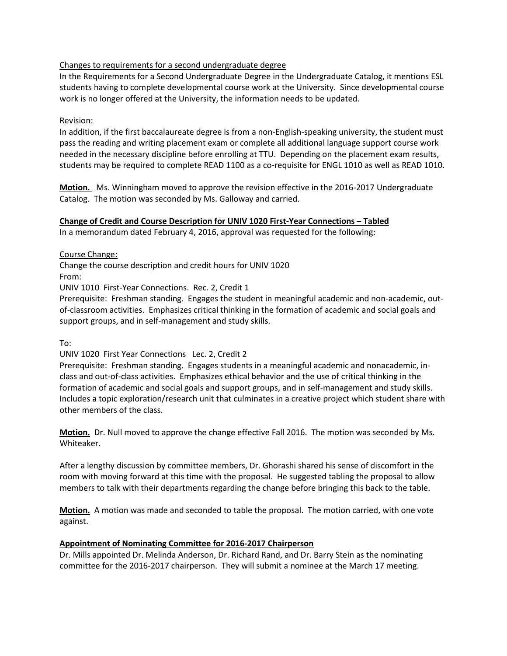### Changes to requirements for a second undergraduate degree

In the Requirements for a Second Undergraduate Degree in the Undergraduate Catalog, it mentions ESL students having to complete developmental course work at the University. Since developmental course work is no longer offered at the University, the information needs to be updated.

## Revision:

In addition, if the first baccalaureate degree is from a non-English-speaking university, the student must pass the reading and writing placement exam or complete all additional language support course work needed in the necessary discipline before enrolling at TTU. Depending on the placement exam results, students may be required to complete READ 1100 as a co-requisite for ENGL 1010 as well as READ 1010.

**Motion.** Ms. Winningham moved to approve the revision effective in the 2016-2017 Undergraduate Catalog. The motion was seconded by Ms. Galloway and carried.

### **Change of Credit and Course Description for UNIV 1020 First-Year Connections – Tabled**

In a memorandum dated February 4, 2016, approval was requested for the following:

Course Change:

Change the course description and credit hours for UNIV 1020 From:

UNIV 1010 First-Year Connections. Rec. 2, Credit 1

Prerequisite: Freshman standing. Engages the student in meaningful academic and non-academic, outof-classroom activities. Emphasizes critical thinking in the formation of academic and social goals and support groups, and in self-management and study skills.

To:

### UNIV 1020 First Year Connections Lec. 2, Credit 2

Prerequisite: Freshman standing. Engages students in a meaningful academic and nonacademic, inclass and out-of-class activities. Emphasizes ethical behavior and the use of critical thinking in the formation of academic and social goals and support groups, and in self-management and study skills. Includes a topic exploration/research unit that culminates in a creative project which student share with other members of the class.

**Motion.** Dr. Null moved to approve the change effective Fall 2016. The motion was seconded by Ms. Whiteaker.

After a lengthy discussion by committee members, Dr. Ghorashi shared his sense of discomfort in the room with moving forward at this time with the proposal. He suggested tabling the proposal to allow members to talk with their departments regarding the change before bringing this back to the table.

**Motion.** A motion was made and seconded to table the proposal. The motion carried, with one vote against.

### **Appointment of Nominating Committee for 2016-2017 Chairperson**

Dr. Mills appointed Dr. Melinda Anderson, Dr. Richard Rand, and Dr. Barry Stein as the nominating committee for the 2016-2017 chairperson. They will submit a nominee at the March 17 meeting.